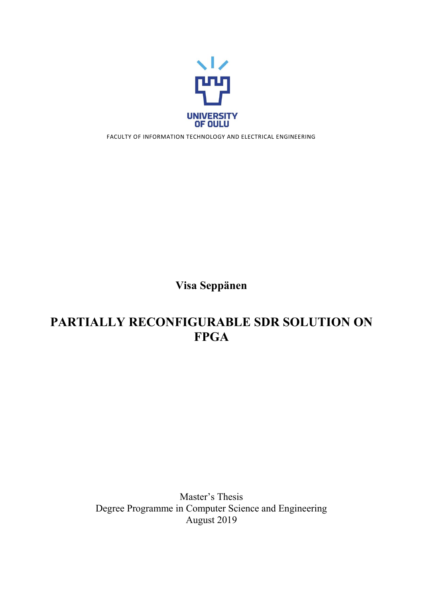

FACULTY OF INFORMATION TECHNOLOGY AND ELECTRICAL ENGINEERING

**Visa Seppänen**

# **PARTIALLY RECONFIGURABLE SDR SOLUTION ON FPGA**

Master's Thesis Degree Programme in Computer Science and Engineering August 2019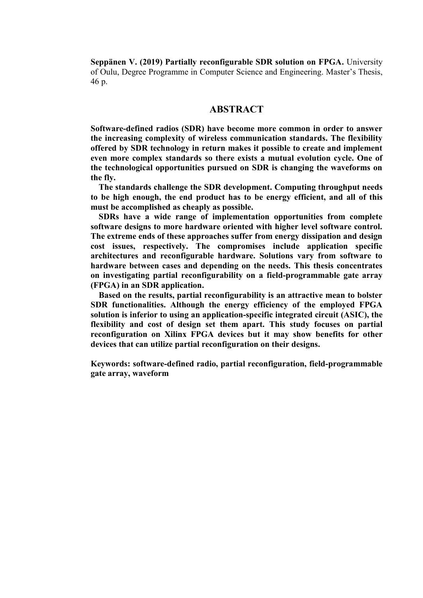**Seppänen V. (2019) Partially reconfigurable SDR solution on FPGA.** University of Oulu, Degree Programme in Computer Science and Engineering. Master's Thesis, 46 p.

## **ABSTRACT**

**Software-defined radios (SDR) have become more common in order to answer the increasing complexity of wireless communication standards. The flexibility offered by SDR technology in return makes it possible to create and implement even more complex standards so there exists a mutual evolution cycle. One of the technological opportunities pursued on SDR is changing the waveforms on the fly.**

**The standards challenge the SDR development. Computing throughput needs to be high enough, the end product has to be energy efficient, and all of this must be accomplished as cheaply as possible.**

**SDRs have a wide range of implementation opportunities from complete software designs to more hardware oriented with higher level software control. The extreme ends of these approaches suffer from energy dissipation and design cost issues, respectively. The compromises include application specific architectures and reconfigurable hardware. Solutions vary from software to hardware between cases and depending on the needs. This thesis concentrates on investigating partial reconfigurability on a field-programmable gate array (FPGA) in an SDR application.**

**Based on the results, partial reconfigurability is an attractive mean to bolster SDR functionalities. Although the energy efficiency of the employed FPGA solution is inferior to using an application-specific integrated circuit (ASIC), the flexibility and cost of design set them apart. This study focuses on partial reconfiguration on Xilinx FPGA devices but it may show benefits for other devices that can utilize partial reconfiguration on their designs.**

**Keywords: software-defined radio, partial reconfiguration, field-programmable gate array, waveform**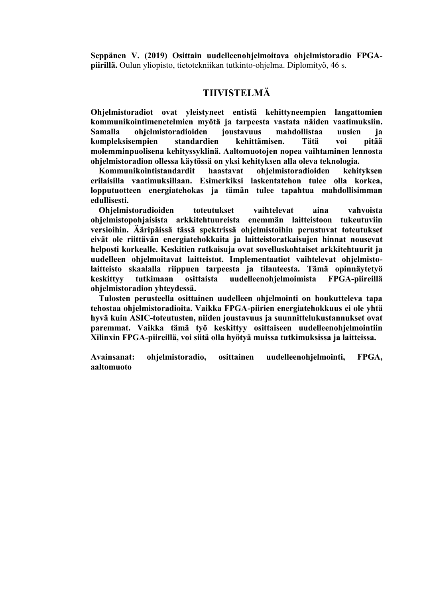**Seppänen V. (2019) Osittain uudelleenohjelmoitava ohjelmistoradio FPGApiirillä.** Oulun yliopisto, tietotekniikan tutkinto-ohjelma. Diplomityö, 46 s.

## **TIIVISTELMÄ**

**Ohjelmistoradiot ovat yleistyneet entistä kehittyneempien langattomien kommunikointimenetelmien myötä ja tarpeesta vastata näiden vaatimuksiin. Samalla ohjelmistoradioiden joustavuus mahdollistaa uusien ja kompleksisempien standardien kehittämisen. Tätä voi pitää molemminpuolisena kehityssyklinä. Aaltomuotojen nopea vaihtaminen lennosta ohjelmistoradion ollessa käytössä on yksi kehityksen alla oleva teknologia.**

**Kommunikointistandardit haastavat ohjelmistoradioiden kehityksen erilaisilla vaatimuksillaan. Esimerkiksi laskentatehon tulee olla korkea, lopputuotteen energiatehokas ja tämän tulee tapahtua mahdollisimman edullisesti.**

**Ohjelmistoradioiden toteutukset vaihtelevat aina vahvoista ohjelmistopohjaisista arkkitehtuureista enemmän laitteistoon tukeutuviin versioihin. Ääripäissä tässä spektrissä ohjelmistoihin perustuvat toteutukset eivät ole riittävän energiatehokkaita ja laitteistoratkaisujen hinnat nousevat helposti korkealle. Keskitien ratkaisuja ovat sovelluskohtaiset arkkitehtuurit ja uudelleen ohjelmoitavat laitteistot. Implementaatiot vaihtelevat ohjelmistolaitteisto skaalalla riippuen tarpeesta ja tilanteesta. Tämä opinnäytetyö keskittyy tutkimaan osittaista uudelleenohjelmoimista FPGA-piireillä ohjelmistoradion yhteydessä.**

**Tulosten perusteella osittainen uudelleen ohjelmointi on houkutteleva tapa tehostaa ohjelmistoradioita. Vaikka FPGA-piirien energiatehokkuus ei ole yhtä hyvä kuin ASIC-toteutusten, niiden joustavuus ja suunnittelukustannukset ovat paremmat. Vaikka tämä työ keskittyy osittaiseen uudelleenohjelmointiin Xilinxin FPGA-piireillä, voi siitä olla hyötyä muissa tutkimuksissa ja laitteissa.**

**Avainsanat: ohjelmistoradio, osittainen uudelleenohjelmointi, FPGA, aaltomuoto**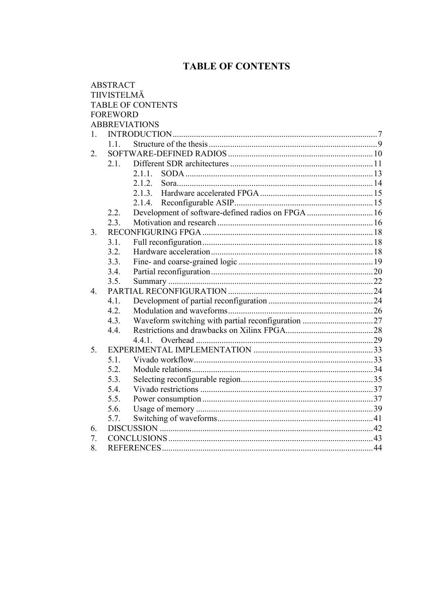## **TABLE OF CONTENTS**

|             | <b>ABSTRACT</b> |                                                    |  |
|-------------|-----------------|----------------------------------------------------|--|
|             | TIIVISTELMÄ     |                                                    |  |
|             |                 | <b>TABLE OF CONTENTS</b>                           |  |
|             | <b>FOREWORD</b> |                                                    |  |
|             |                 | <b>ABBREVIATIONS</b>                               |  |
| 1.          |                 |                                                    |  |
|             | 11              |                                                    |  |
| 2.          |                 |                                                    |  |
|             | 2.1.            |                                                    |  |
|             |                 | 2.1.1.                                             |  |
|             |                 | 2.1.2.                                             |  |
|             |                 | 2.1.3.                                             |  |
|             |                 | 2.1.4.                                             |  |
|             | 2.2.            | Development of software-defined radios on FPGA  16 |  |
|             | 2.3.            |                                                    |  |
| 3.          |                 |                                                    |  |
|             | 3.1.            |                                                    |  |
|             | 3.2.            |                                                    |  |
|             | 3.3.            |                                                    |  |
|             | 3.4.            |                                                    |  |
|             | 3.5.            |                                                    |  |
| $4_{\cdot}$ |                 |                                                    |  |
|             | 4.1.            |                                                    |  |
|             | 4.2.            |                                                    |  |
|             | 4.3.            |                                                    |  |
|             | 4.4.            |                                                    |  |
|             |                 | 441                                                |  |
| 5.          |                 |                                                    |  |
|             | 5.1.            |                                                    |  |
|             | 5.2.            |                                                    |  |
|             | 5.3.            |                                                    |  |
|             | 5.4.            |                                                    |  |
|             | 5.5.            |                                                    |  |
|             | 5.6.            |                                                    |  |
|             | 5.7.            |                                                    |  |
| 6.          |                 |                                                    |  |
| 7.          |                 |                                                    |  |
| 8.          |                 |                                                    |  |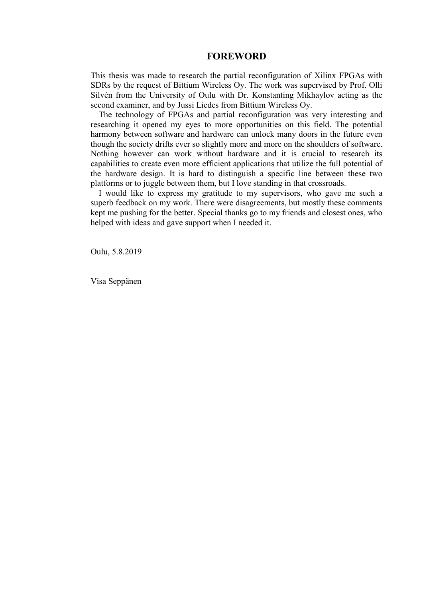## **FOREWORD**

This thesis was made to research the partial reconfiguration of Xilinx FPGAs with SDRs by the request of Bittium Wireless Oy. The work was supervised by Prof. Olli Silvén from the University of Oulu with Dr. Konstanting Mikhaylov acting as the second examiner, and by Jussi Liedes from Bittium Wireless Oy.

The technology of FPGAs and partial reconfiguration was very interesting and researching it opened my eyes to more opportunities on this field. The potential harmony between software and hardware can unlock many doors in the future even though the society drifts ever so slightly more and more on the shoulders of software. Nothing however can work without hardware and it is crucial to research its capabilities to create even more efficient applications that utilize the full potential of the hardware design. It is hard to distinguish a specific line between these two platforms or to juggle between them, but I love standing in that crossroads.

I would like to express my gratitude to my supervisors, who gave me such a superb feedback on my work. There were disagreements, but mostly these comments kept me pushing for the better. Special thanks go to my friends and closest ones, who helped with ideas and gave support when I needed it.

Oulu, 5.8.2019

Visa Seppänen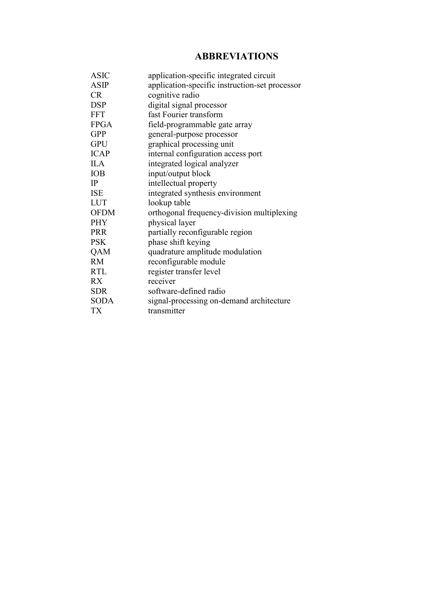## **ABBREVIATIONS**

| <b>ASIC</b> | application-specific integrated circuit        |
|-------------|------------------------------------------------|
| <b>ASIP</b> | application-specific instruction-set processor |
| <b>CR</b>   | cognitive radio                                |
| <b>DSP</b>  | digital signal processor                       |
| <b>FFT</b>  | fast Fourier transform                         |
| <b>FPGA</b> | field-programmable gate array                  |
| <b>GPP</b>  | general-purpose processor                      |
| <b>GPU</b>  | graphical processing unit                      |
| <b>ICAP</b> | internal configuration access port             |
| <b>ILA</b>  | integrated logical analyzer                    |
| <b>IOB</b>  | input/output block                             |
| IP          | intellectual property                          |
| <b>ISE</b>  | integrated synthesis environment               |
| <b>LUT</b>  | lookup table                                   |
| <b>OFDM</b> | orthogonal frequency-division multiplexing     |
| <b>PHY</b>  | physical layer                                 |
| <b>PRR</b>  | partially reconfigurable region                |
| <b>PSK</b>  | phase shift keying                             |
| QAM         | quadrature amplitude modulation                |
| <b>RM</b>   | reconfigurable module                          |
| <b>RTL</b>  | register transfer level                        |
| <b>RX</b>   | receiver                                       |
| <b>SDR</b>  | software-defined radio                         |
| <b>SODA</b> | signal-processing on-demand architecture       |
| <b>TX</b>   | transmitter                                    |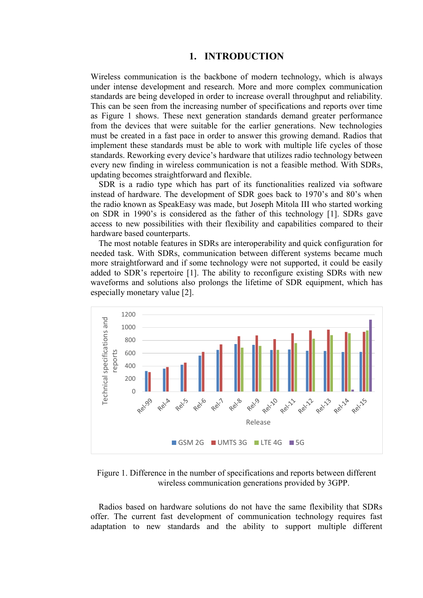## **1. INTRODUCTION**

<span id="page-6-0"></span>Wireless communication is the backbone of modern technology, which is always under intense development and research. More and more complex communication standards are being developed in order to increase overall throughput and reliability. This can be seen from the increasing number of specifications and reports over time as Figure 1 shows. These next generation standards demand greater performance from the devices that were suitable for the earlier generations. New technologies must be created in a fast pace in order to answer this growing demand. Radios that implement these standards must be able to work with multiple life cycles of those standards. Reworking every device's hardware that utilizes radio technology between every new finding in wireless communication is not a feasible method. With SDRs, updating becomes straightforward and flexible.

SDR is a radio type which has part of its functionalities realized via software instead of hardware. The development of SDR goes back to 1970's and 80's when the radio known as SpeakEasy was made, but Joseph Mitola III who started working on SDR in 1990's is considered as the father of this technology [1]. SDRs gave access to new possibilities with their flexibility and capabilities compared to their hardware based counterparts.

The most notable features in SDRs are interoperability and quick configuration for needed task. With SDRs, communication between different systems became much more straightforward and if some technology were not supported, it could be easily added to SDR's repertoire [1]. The ability to reconfigure existing SDRs with new waveforms and solutions also prolongs the lifetime of SDR equipment, which has especially monetary value [2].



Figure 1. Difference in the number of specifications and reports between different wireless communication generations provided by 3GPP.

Radios based on hardware solutions do not have the same flexibility that SDRs offer. The current fast development of communication technology requires fast adaptation to new standards and the ability to support multiple different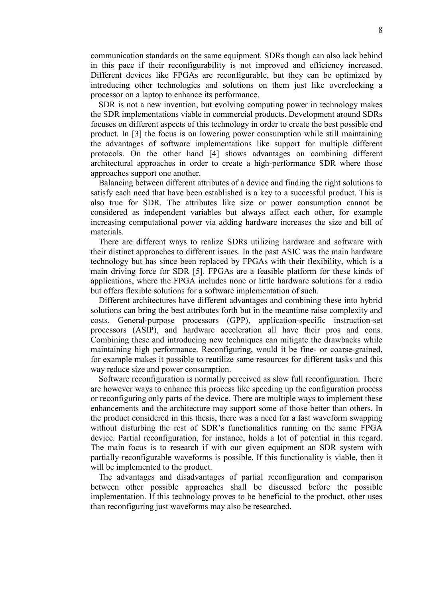<span id="page-7-0"></span>communication standards on the same equipment. SDRs though can also lack behind in this pace if their reconfigurability is not improved and efficiency increased. Different devices like FPGAs are reconfigurable, but they can be optimized by introducing other technologies and solutions on them just like overclocking a processor on a laptop to enhance its performance.

SDR is not a new invention, but evolving computing power in technology makes the SDR implementations viable in commercial products. Development around SDRs focuses on different aspects of this technology in order to create the best possible end product. In [3] the focus is on lowering power consumption while still maintaining the advantages of software implementations like support for multiple different protocols. On the other hand [4] shows advantages on combining different architectural approaches in order to create a high-performance SDR where those approaches support one another.

Balancing between different attributes of a device and finding the right solutions to satisfy each need that have been established is a key to a successful product. This is also true for SDR. The attributes like size or power consumption cannot be considered as independent variables but always affect each other, for example increasing computational power via adding hardware increases the size and bill of materials.

There are different ways to realize SDRs utilizing hardware and software with their distinct approaches to different issues. In the past ASIC was the main hardware technology but has since been replaced by FPGAs with their flexibility, which is a main driving force for SDR [5]. FPGAs are a feasible platform for these kinds of applications, where the FPGA includes none or little hardware solutions for a radio but offers flexible solutions for a software implementation of such.

Different architectures have different advantages and combining these into hybrid solutions can bring the best attributes forth but in the meantime raise complexity and costs. General-purpose processors (GPP), application-specific instruction-set processors (ASIP), and hardware acceleration all have their pros and cons. Combining these and introducing new techniques can mitigate the drawbacks while maintaining high performance. Reconfiguring, would it be fine- or coarse-grained, for example makes it possible to reutilize same resources for different tasks and this way reduce size and power consumption.

Software reconfiguration is normally perceived as slow full reconfiguration. There are however ways to enhance this process like speeding up the configuration process or reconfiguring only parts of the device. There are multiple ways to implement these enhancements and the architecture may support some of those better than others. In the product considered in this thesis, there was a need for a fast waveform swapping without disturbing the rest of SDR's functionalities running on the same FPGA device. Partial reconfiguration, for instance, holds a lot of potential in this regard. The main focus is to research if with our given equipment an SDR system with partially reconfigurable waveforms is possible. If this functionality is viable, then it will be implemented to the product.

The advantages and disadvantages of partial reconfiguration and comparison between other possible approaches shall be discussed before the possible implementation. If this technology proves to be beneficial to the product, other uses than reconfiguring just waveforms may also be researched.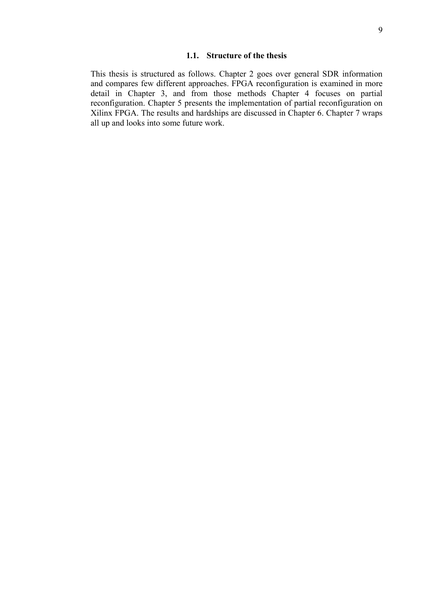#### **1.1. Structure of the thesis**

This thesis is structured as follows. Chapter 2 goes over general SDR information and compares few different approaches. FPGA reconfiguration is examined in more detail in Chapter 3, and from those methods Chapter 4 focuses on partial reconfiguration. Chapter 5 presents the implementation of partial reconfiguration on Xilinx FPGA. The results and hardships are discussed in Chapter 6. Chapter 7 wraps all up and looks into some future work.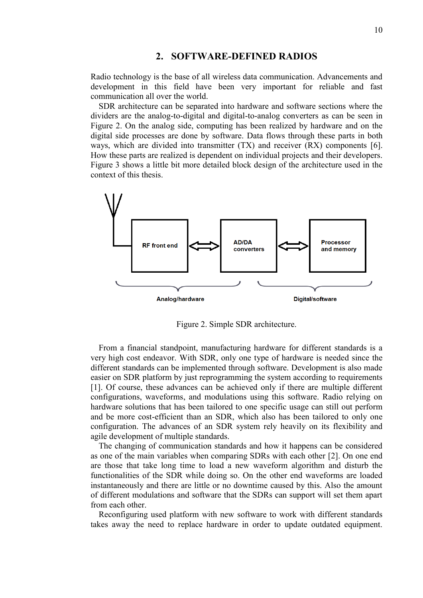## **2. SOFTWARE-DEFINED RADIOS**

<span id="page-9-0"></span>Radio technology is the base of all wireless data communication. Advancements and development in this field have been very important for reliable and fast communication all over the world.

SDR architecture can be separated into hardware and software sections where the dividers are the analog-to-digital and digital-to-analog converters as can be seen in Figure 2. On the analog side, computing has been realized by hardware and on the digital side processes are done by software. Data flows through these parts in both ways, which are divided into transmitter (TX) and receiver (RX) components [6]. How these parts are realized is dependent on individual projects and their developers. Figure 3 shows a little bit more detailed block design of the architecture used in the context of this thesis.



Figure 2. Simple SDR architecture.

From a financial standpoint, manufacturing hardware for different standards is a very high cost endeavor. With SDR, only one type of hardware is needed since the different standards can be implemented through software. Development is also made easier on SDR platform by just reprogramming the system according to requirements [1]. Of course, these advances can be achieved only if there are multiple different configurations, waveforms, and modulations using this software. Radio relying on hardware solutions that has been tailored to one specific usage can still out perform and be more cost-efficient than an SDR, which also has been tailored to only one configuration. The advances of an SDR system rely heavily on its flexibility and agile development of multiple standards.

The changing of communication standards and how it happens can be considered as one of the main variables when comparing SDRs with each other [2]. On one end are those that take long time to load a new waveform algorithm and disturb the functionalities of the SDR while doing so. On the other end waveforms are loaded instantaneously and there are little or no downtime caused by this. Also the amount of different modulations and software that the SDRs can support will set them apart from each other.

Reconfiguring used platform with new software to work with different standards takes away the need to replace hardware in order to update outdated equipment.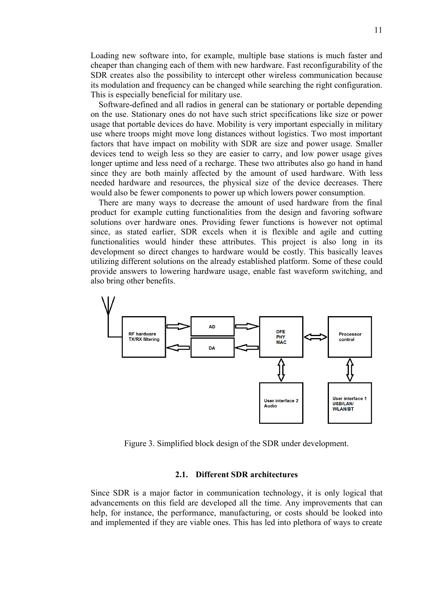Loading new software into, for example, multiple base stations is much faster and cheaper than changing each of them with new hardware. Fast reconfigurability of the SDR creates also the possibility to intercept other wireless communication because its modulation and frequency can be changed while searching the right configuration. This is especially beneficial for military use.

Software-defined and all radios in general can be stationary or portable depending on the use. Stationary ones do not have such strict specifications like size or power usage that portable devices do have. Mobility is very important especially in military use where troops might move long distances without logistics. Two most important factors that have impact on mobility with SDR are size and power usage. Smaller devices tend to weigh less so they are easier to carry, and low power usage gives longer uptime and less need of a recharge. These two attributes also go hand in hand since they are both mainly affected by the amount of used hardware. With less needed hardware and resources, the physical size of the device decreases. There would also be fewer components to power up which lowers power consumption.

There are many ways to decrease the amount of used hardware from the final product for example cutting functionalities from the design and favoring software solutions over hardware ones. Providing fewer functions is however not optimal since, as stated earlier, SDR excels when it is flexible and agile and cutting functionalities would hinder these attributes. This project is also long in its development so direct changes to hardware would be costly. This basically leaves utilizing different solutions on the already established platform. Some of these could provide answers to lowering hardware usage, enable fast waveform switching, and also bring other benefits.



Figure 3. Simplified block design of the SDR under development.

#### **2.1. Different SDR architectures**

<span id="page-10-0"></span>Since SDR is a major factor in communication technology, it is only logical that advancements on this field are developed all the time. Any improvements that can help, for instance, the performance, manufacturing, or costs should be looked into and implemented if they are viable ones. This has led into plethora of ways to create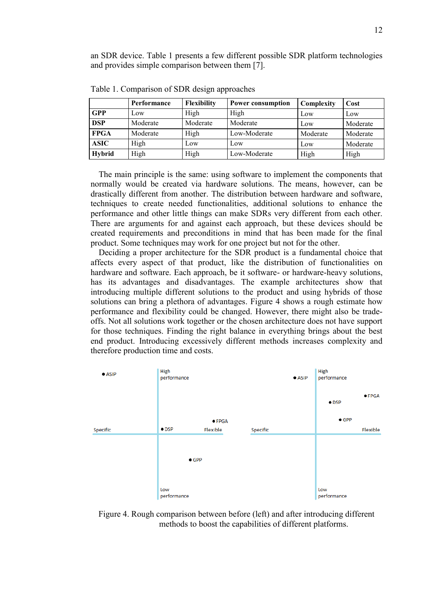an SDR device. Table 1 presents a few different possible SDR platform technologies and provides simple comparison between them [7].

|               | Performance | <b>Flexibility</b> | <b>Power consumption</b> | Complexity | Cost     |
|---------------|-------------|--------------------|--------------------------|------------|----------|
| <b>GPP</b>    | Low         | High               | High                     | Low        | Low      |
| <b>DSP</b>    | Moderate    | Moderate           | Moderate                 | Low        | Moderate |
| <b>FPGA</b>   | Moderate    | High               | Low-Moderate             | Moderate   | Moderate |
| <b>ASIC</b>   | High        | Low                | Low                      | Low        | Moderate |
| <b>Hybrid</b> | High        | High               | Low-Moderate             | High       | High     |

Table 1. Comparison of SDR design approaches

The main principle is the same: using software to implement the components that normally would be created via hardware solutions. The means, however, can be drastically different from another. The distribution between hardware and software, techniques to create needed functionalities, additional solutions to enhance the performance and other little things can make SDRs very different from each other. There are arguments for and against each approach, but these devices should be created requirements and preconditions in mind that has been made for the final product. Some techniques may work for one project but not for the other.

Deciding a proper architecture for the SDR product is a fundamental choice that affects every aspect of that product, like the distribution of functionalities on hardware and software. Each approach, be it software- or hardware-heavy solutions, has its advantages and disadvantages. The example architectures show that introducing multiple different solutions to the product and using hybrids of those solutions can bring a plethora of advantages. Figure 4 shows a rough estimate how performance and flexibility could be changed. However, there might also be tradeoffs. Not all solutions work together or the chosen architecture does not have support for those techniques. Finding the right balance in everything brings about the best end product. Introducing excessively different methods increases complexity and therefore production time and costs.



Figure 4. Rough comparison between before (left) and after introducing different methods to boost the capabilities of different platforms.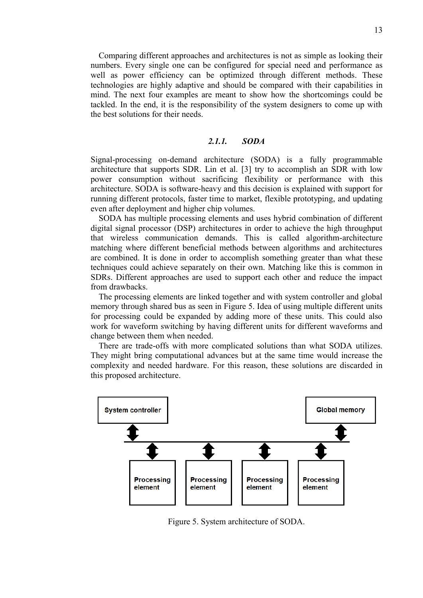Comparing different approaches and architectures is not as simple as looking their numbers. Every single one can be configured for special need and performance as well as power efficiency can be optimized through different methods. These technologies are highly adaptive and should be compared with their capabilities in mind. The next four examples are meant to show how the shortcomings could be tackled. In the end, it is the responsibility of the system designers to come up with the best solutions for their needs.

## <span id="page-12-0"></span>*2.1.1. SODA*

Signal-processing on-demand architecture (SODA) is a fully programmable architecture that supports SDR. Lin et al. [3] try to accomplish an SDR with low power consumption without sacrificing flexibility or performance with this architecture. SODA is software-heavy and this decision is explained with support for running different protocols, faster time to market, flexible prototyping, and updating even after deployment and higher chip volumes.

SODA has multiple processing elements and uses hybrid combination of different digital signal processor (DSP) architectures in order to achieve the high throughput that wireless communication demands. This is called algorithm-architecture matching where different beneficial methods between algorithms and architectures are combined. It is done in order to accomplish something greater than what these techniques could achieve separately on their own. Matching like this is common in SDRs. Different approaches are used to support each other and reduce the impact from drawbacks.

The processing elements are linked together and with system controller and global memory through shared bus as seen in Figure 5. Idea of using multiple different units for processing could be expanded by adding more of these units. This could also work for waveform switching by having different units for different waveforms and change between them when needed.

There are trade-offs with more complicated solutions than what SODA utilizes. They might bring computational advances but at the same time would increase the complexity and needed hardware. For this reason, these solutions are discarded in this proposed architecture.



Figure 5. System architecture of SODA.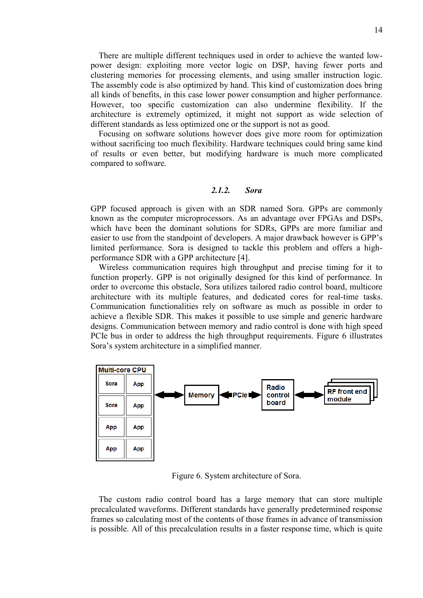There are multiple different techniques used in order to achieve the wanted lowpower design: exploiting more vector logic on DSP, having fewer ports and clustering memories for processing elements, and using smaller instruction logic. The assembly code is also optimized by hand. This kind of customization does bring all kinds of benefits, in this case lower power consumption and higher performance. However, too specific customization can also undermine flexibility. If the architecture is extremely optimized, it might not support as wide selection of different standards as less optimized one or the support is not as good.

Focusing on software solutions however does give more room for optimization without sacrificing too much flexibility. Hardware techniques could bring same kind of results or even better, but modifying hardware is much more complicated compared to software.

#### <span id="page-13-0"></span>*2.1.2. Sora*

GPP focused approach is given with an SDR named Sora. GPPs are commonly known as the computer microprocessors. As an advantage over FPGAs and DSPs, which have been the dominant solutions for SDRs, GPPs are more familiar and easier to use from the standpoint of developers. A major drawback however is GPP's limited performance. Sora is designed to tackle this problem and offers a highperformance SDR with a GPP architecture [4].

Wireless communication requires high throughput and precise timing for it to function properly. GPP is not originally designed for this kind of performance. In order to overcome this obstacle, Sora utilizes tailored radio control board, multicore architecture with its multiple features, and dedicated cores for real-time tasks. Communication functionalities rely on software as much as possible in order to achieve a flexible SDR. This makes it possible to use simple and generic hardware designs. Communication between memory and radio control is done with high speed PCIe bus in order to address the high throughput requirements. Figure 6 illustrates Sora's system architecture in a simplified manner.



Figure 6. System architecture of Sora.

The custom radio control board has a large memory that can store multiple precalculated waveforms. Different standards have generally predetermined response frames so calculating most of the contents of those frames in advance of transmission is possible. All of this precalculation results in a faster response time, which is quite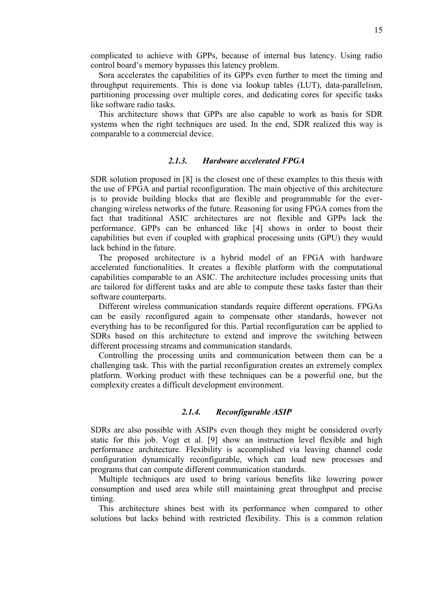complicated to achieve with GPPs, because of internal bus latency. Using radio control board's memory bypasses this latency problem.

Sora accelerates the capabilities of its GPPs even further to meet the timing and throughput requirements. This is done via lookup tables (LUT), data-parallelism, partitioning processing over multiple cores, and dedicating cores for specific tasks like software radio tasks.

This architecture shows that GPPs are also capable to work as basis for SDR systems when the right techniques are used. In the end, SDR realized this way is comparable to a commercial device.

## <span id="page-14-0"></span>*2.1.3. Hardware accelerated FPGA*

SDR solution proposed in [8] is the closest one of these examples to this thesis with the use of FPGA and partial reconfiguration. The main objective of this architecture is to provide building blocks that are flexible and programmable for the everchanging wireless networks of the future. Reasoning for using FPGA comes from the fact that traditional ASIC architectures are not flexible and GPPs lack the performance. GPPs can be enhanced like [4] shows in order to boost their capabilities but even if coupled with graphical processing units (GPU) they would lack behind in the future.

The proposed architecture is a hybrid model of an FPGA with hardware accelerated functionalities. It creates a flexible platform with the computational capabilities comparable to an ASIC. The architecture includes processing units that are tailored for different tasks and are able to compute these tasks faster than their software counterparts.

Different wireless communication standards require different operations. FPGAs can be easily reconfigured again to compensate other standards, however not everything has to be reconfigured for this. Partial reconfiguration can be applied to SDRs based on this architecture to extend and improve the switching between different processing streams and communication standards.

Controlling the processing units and communication between them can be a challenging task. This with the partial reconfiguration creates an extremely complex platform. Working product with these techniques can be a powerful one, but the complexity creates a difficult development environment.

#### <span id="page-14-1"></span>*2.1.4. Reconfigurable ASIP*

SDRs are also possible with ASIPs even though they might be considered overly static for this job. Vogt et al. [9] show an instruction level flexible and high performance architecture. Flexibility is accomplished via leaving channel code configuration dynamically reconfigurable, which can load new processes and programs that can compute different communication standards.

Multiple techniques are used to bring various benefits like lowering power consumption and used area while still maintaining great throughput and precise timing.

This architecture shines best with its performance when compared to other solutions but lacks behind with restricted flexibility. This is a common relation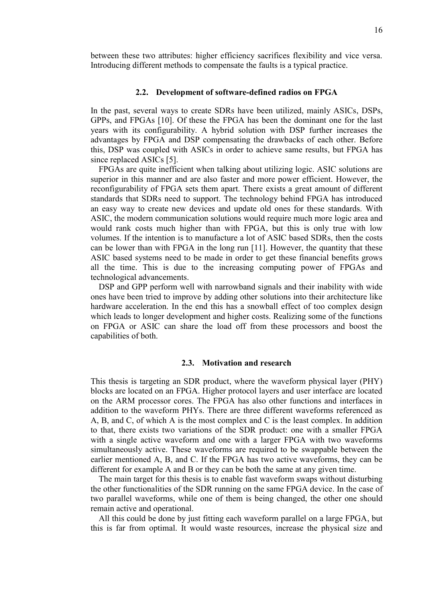<span id="page-15-0"></span>between these two attributes: higher efficiency sacrifices flexibility and vice versa. Introducing different methods to compensate the faults is a typical practice.

#### **2.2. Development of software-defined radios on FPGA**

In the past, several ways to create SDRs have been utilized, mainly ASICs, DSPs, GPPs, and FPGAs [10]. Of these the FPGA has been the dominant one for the last years with its configurability. A hybrid solution with DSP further increases the advantages by FPGA and DSP compensating the drawbacks of each other. Before this, DSP was coupled with ASICs in order to achieve same results, but FPGA has since replaced ASICs [5].

FPGAs are quite inefficient when talking about utilizing logic. ASIC solutions are superior in this manner and are also faster and more power efficient. However, the reconfigurability of FPGA sets them apart. There exists a great amount of different standards that SDRs need to support. The technology behind FPGA has introduced an easy way to create new devices and update old ones for these standards. With ASIC, the modern communication solutions would require much more logic area and would rank costs much higher than with FPGA, but this is only true with low volumes. If the intention is to manufacture a lot of ASIC based SDRs, then the costs can be lower than with FPGA in the long run [11]. However, the quantity that these ASIC based systems need to be made in order to get these financial benefits grows all the time. This is due to the increasing computing power of FPGAs and technological advancements.

DSP and GPP perform well with narrowband signals and their inability with wide ones have been tried to improve by adding other solutions into their architecture like hardware acceleration. In the end this has a snowball effect of too complex design which leads to longer development and higher costs. Realizing some of the functions on FPGA or ASIC can share the load off from these processors and boost the capabilities of both.

#### **2.3. Motivation and research**

<span id="page-15-1"></span>This thesis is targeting an SDR product, where the waveform physical layer (PHY) blocks are located on an FPGA. Higher protocol layers and user interface are located on the ARM processor cores. The FPGA has also other functions and interfaces in addition to the waveform PHYs. There are three different waveforms referenced as A, B, and C, of which A is the most complex and C is the least complex. In addition to that, there exists two variations of the SDR product: one with a smaller FPGA with a single active waveform and one with a larger FPGA with two waveforms simultaneously active. These waveforms are required to be swappable between the earlier mentioned A, B, and C. If the FPGA has two active waveforms, they can be different for example A and B or they can be both the same at any given time.

The main target for this thesis is to enable fast waveform swaps without disturbing the other functionalities of the SDR running on the same FPGA device. In the case of two parallel waveforms, while one of them is being changed, the other one should remain active and operational.

All this could be done by just fitting each waveform parallel on a large FPGA, but this is far from optimal. It would waste resources, increase the physical size and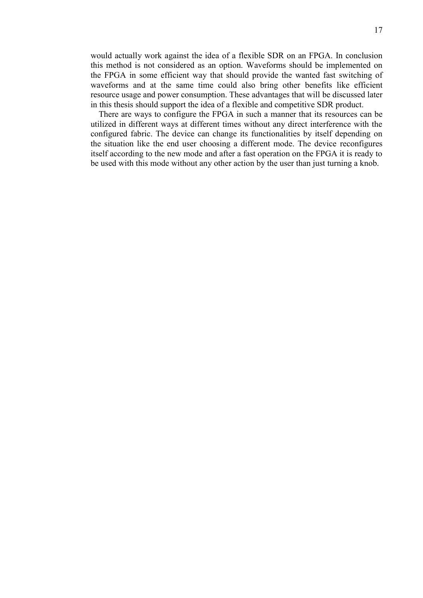would actually work against the idea of a flexible SDR on an FPGA. In conclusion this method is not considered as an option. Waveforms should be implemented on the FPGA in some efficient way that should provide the wanted fast switching of waveforms and at the same time could also bring other benefits like efficient resource usage and power consumption. These advantages that will be discussed later in this thesis should support the idea of a flexible and competitive SDR product.

There are ways to configure the FPGA in such a manner that its resources can be utilized in different ways at different times without any direct interference with the configured fabric. The device can change its functionalities by itself depending on the situation like the end user choosing a different mode. The device reconfigures itself according to the new mode and after a fast operation on the FPGA it is ready to be used with this mode without any other action by the user than just turning a knob.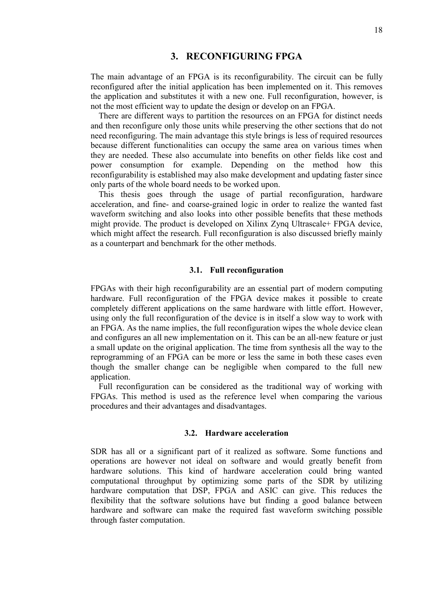## **3. RECONFIGURING FPGA**

<span id="page-17-0"></span>The main advantage of an FPGA is its reconfigurability. The circuit can be fully reconfigured after the initial application has been implemented on it. This removes the application and substitutes it with a new one. Full reconfiguration, however, is not the most efficient way to update the design or develop on an FPGA.

There are different ways to partition the resources on an FPGA for distinct needs and then reconfigure only those units while preserving the other sections that do not need reconfiguring. The main advantage this style brings is less of required resources because different functionalities can occupy the same area on various times when they are needed. These also accumulate into benefits on other fields like cost and power consumption for example. Depending on the method how this reconfigurability is established may also make development and updating faster since only parts of the whole board needs to be worked upon.

This thesis goes through the usage of partial reconfiguration, hardware acceleration, and fine- and coarse-grained logic in order to realize the wanted fast waveform switching and also looks into other possible benefits that these methods might provide. The product is developed on Xilinx Zynq Ultrascale+ FPGA device, which might affect the research. Full reconfiguration is also discussed briefly mainly as a counterpart and benchmark for the other methods.

#### **3.1. Full reconfiguration**

<span id="page-17-1"></span>FPGAs with their high reconfigurability are an essential part of modern computing hardware. Full reconfiguration of the FPGA device makes it possible to create completely different applications on the same hardware with little effort. However, using only the full reconfiguration of the device is in itself a slow way to work with an FPGA. As the name implies, the full reconfiguration wipes the whole device clean and configures an all new implementation on it. This can be an all-new feature or just a small update on the original application. The time from synthesis all the way to the reprogramming of an FPGA can be more or less the same in both these cases even though the smaller change can be negligible when compared to the full new application.

<span id="page-17-2"></span>Full reconfiguration can be considered as the traditional way of working with FPGAs. This method is used as the reference level when comparing the various procedures and their advantages and disadvantages.

#### **3.2. Hardware acceleration**

SDR has all or a significant part of it realized as software. Some functions and operations are however not ideal on software and would greatly benefit from hardware solutions. This kind of hardware acceleration could bring wanted computational throughput by optimizing some parts of the SDR by utilizing hardware computation that DSP, FPGA and ASIC can give. This reduces the flexibility that the software solutions have but finding a good balance between hardware and software can make the required fast waveform switching possible through faster computation.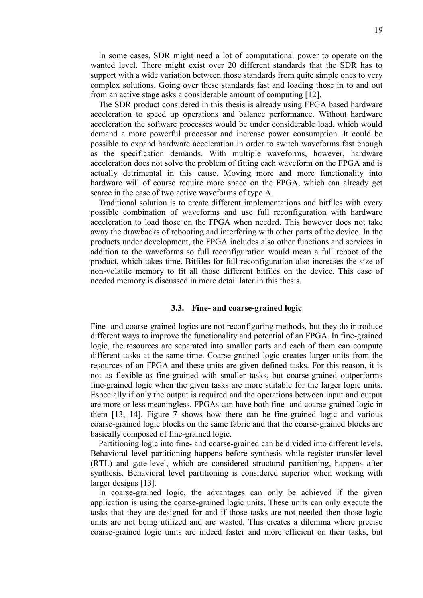In some cases, SDR might need a lot of computational power to operate on the wanted level. There might exist over 20 different standards that the SDR has to support with a wide variation between those standards from quite simple ones to very complex solutions. Going over these standards fast and loading those in to and out from an active stage asks a considerable amount of computing [12].

The SDR product considered in this thesis is already using FPGA based hardware acceleration to speed up operations and balance performance. Without hardware acceleration the software processes would be under considerable load, which would demand a more powerful processor and increase power consumption. It could be possible to expand hardware acceleration in order to switch waveforms fast enough as the specification demands. With multiple waveforms, however, hardware acceleration does not solve the problem of fitting each waveform on the FPGA and is actually detrimental in this cause. Moving more and more functionality into hardware will of course require more space on the FPGA, which can already get scarce in the case of two active waveforms of type A.

Traditional solution is to create different implementations and bitfiles with every possible combination of waveforms and use full reconfiguration with hardware acceleration to load those on the FPGA when needed. This however does not take away the drawbacks of rebooting and interfering with other parts of the device. In the products under development, the FPGA includes also other functions and services in addition to the waveforms so full reconfiguration would mean a full reboot of the product, which takes time. Bitfiles for full reconfiguration also increases the size of non-volatile memory to fit all those different bitfiles on the device. This case of needed memory is discussed in more detail later in this thesis.

#### **3.3. Fine- and coarse-grained logic**

<span id="page-18-0"></span>Fine- and coarse-grained logics are not reconfiguring methods, but they do introduce different ways to improve the functionality and potential of an FPGA. In fine-grained logic, the resources are separated into smaller parts and each of them can compute different tasks at the same time. Coarse-grained logic creates larger units from the resources of an FPGA and these units are given defined tasks. For this reason, it is not as flexible as fine-grained with smaller tasks, but coarse-grained outperforms fine-grained logic when the given tasks are more suitable for the larger logic units. Especially if only the output is required and the operations between input and output are more or less meaningless. FPGAs can have both fine- and coarse-grained logic in them [13, 14]. Figure 7 shows how there can be fine-grained logic and various coarse-grained logic blocks on the same fabric and that the coarse-grained blocks are basically composed of fine-grained logic.

Partitioning logic into fine- and coarse-grained can be divided into different levels. Behavioral level partitioning happens before synthesis while register transfer level (RTL) and gate-level, which are considered structural partitioning, happens after synthesis. Behavioral level partitioning is considered superior when working with larger designs [13].

In coarse-grained logic, the advantages can only be achieved if the given application is using the coarse-grained logic units. These units can only execute the tasks that they are designed for and if those tasks are not needed then those logic units are not being utilized and are wasted. This creates a dilemma where precise coarse-grained logic units are indeed faster and more efficient on their tasks, but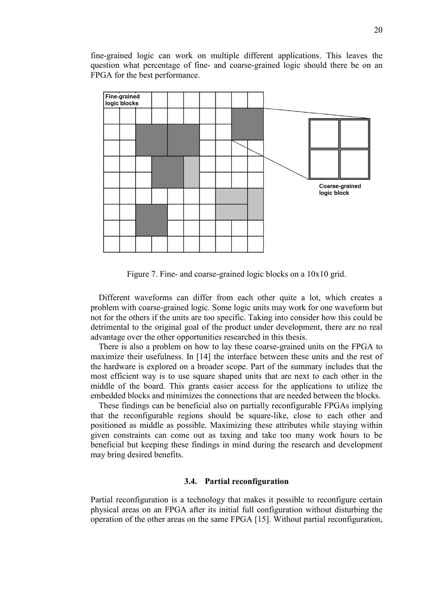fine-grained logic can work on multiple different applications. This leaves the question what percentage of fine- and coarse-grained logic should there be on an FPGA for the best performance.



Figure 7. Fine- and coarse-grained logic blocks on a 10x10 grid.

Different waveforms can differ from each other quite a lot, which creates a problem with coarse-grained logic. Some logic units may work for one waveform but not for the others if the units are too specific. Taking into consider how this could be detrimental to the original goal of the product under development, there are no real advantage over the other opportunities researched in this thesis.

There is also a problem on how to lay these coarse-grained units on the FPGA to maximize their usefulness. In [14] the interface between these units and the rest of the hardware is explored on a broader scope. Part of the summary includes that the most efficient way is to use square shaped units that are next to each other in the middle of the board. This grants easier access for the applications to utilize the embedded blocks and minimizes the connections that are needed between the blocks.

These findings can be beneficial also on partially reconfigurable FPGAs implying that the reconfigurable regions should be square-like, close to each other and positioned as middle as possible. Maximizing these attributes while staying within given constraints can come out as taxing and take too many work hours to be beneficial but keeping these findings in mind during the research and development may bring desired benefits.

#### **3.4. Partial reconfiguration**

<span id="page-19-0"></span>Partial reconfiguration is a technology that makes it possible to reconfigure certain physical areas on an FPGA after its initial full configuration without disturbing the operation of the other areas on the same FPGA [15]. Without partial reconfiguration,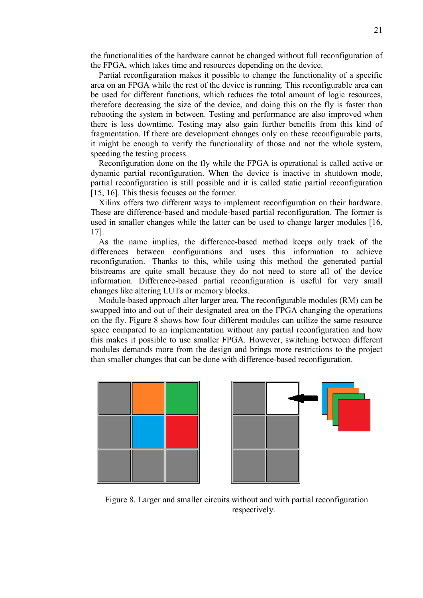the functionalities of the hardware cannot be changed without full reconfiguration of the FPGA, which takes time and resources depending on the device.

Partial reconfiguration makes it possible to change the functionality of a specific area on an FPGA while the rest of the device is running. This reconfigurable area can be used for different functions, which reduces the total amount of logic resources, therefore decreasing the size of the device, and doing this on the fly is faster than rebooting the system in between. Testing and performance are also improved when there is less downtime. Testing may also gain further benefits from this kind of fragmentation. If there are development changes only on these reconfigurable parts, it might be enough to verify the functionality of those and not the whole system, speeding the testing process.

Reconfiguration done on the fly while the FPGA is operational is called active or dynamic partial reconfiguration. When the device is inactive in shutdown mode, partial reconfiguration is still possible and it is called static partial reconfiguration [15, 16]. This thesis focuses on the former.

Xilinx offers two different ways to implement reconfiguration on their hardware. These are difference-based and module-based partial reconfiguration. The former is used in smaller changes while the latter can be used to change larger modules [16, 17].

As the name implies, the difference-based method keeps only track of the differences between configurations and uses this information to achieve reconfiguration. Thanks to this, while using this method the generated partial bitstreams are quite small because they do not need to store all of the device information. Difference-based partial reconfiguration is useful for very small changes like altering LUTs or memory blocks.

Module-based approach alter larger area. The reconfigurable modules (RM) can be swapped into and out of their designated area on the FPGA changing the operations on the fly. Figure 8 shows how four different modules can utilize the same resource space compared to an implementation without any partial reconfiguration and how this makes it possible to use smaller FPGA. However, switching between different modules demands more from the design and brings more restrictions to the project than smaller changes that can be done with difference-based reconfiguration.





Figure 8. Larger and smaller circuits without and with partial reconfiguration respectively.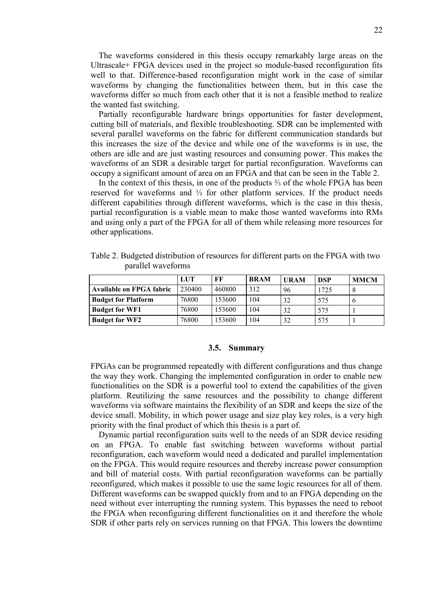The waveforms considered in this thesis occupy remarkably large areas on the Ultrascale+ FPGA devices used in the project so module-based reconfiguration fits well to that. Difference-based reconfiguration might work in the case of similar waveforms by changing the functionalities between them, but in this case the waveforms differ so much from each other that it is not a feasible method to realize the wanted fast switching.

Partially reconfigurable hardware brings opportunities for faster development, cutting bill of materials, and flexible troubleshooting. SDR can be implemented with several parallel waveforms on the fabric for different communication standards but this increases the size of the device and while one of the waveforms is in use, the others are idle and are just wasting resources and consuming power. This makes the waveforms of an SDR a desirable target for partial reconfiguration. Waveforms can occupy a significant amount of area on an FPGA and that can be seen in the Table 2.

In the context of this thesis, in one of the products ⅔ of the whole FPGA has been reserved for waveforms and ⅓ for other platform services. If the product needs different capabilities through different waveforms, which is the case in this thesis, partial reconfiguration is a viable mean to make those wanted waveforms into RMs and using only a part of the FPGA for all of them while releasing more resources for other applications.

|                                 | LUT    | FF     | <b>BRAM</b> | <b>URAM</b> | <b>DSP</b> | <b>MMCM</b> |
|---------------------------------|--------|--------|-------------|-------------|------------|-------------|
| <b>Available on FPGA fabric</b> | 230400 | 460800 | 312         | 96          | 1725       |             |
| <b>Budget for Platform</b>      | 76800  | 153600 | 104         | 32          | 575        |             |
| <b>Budget for WF1</b>           | 76800  | 153600 | 104         | 32          | 575        |             |
| <b>Budget for WF2</b>           | 76800  | 153600 | 104         | 32          | 575        |             |

Table 2. Budgeted distribution of resources for different parts on the FPGA with two parallel waveforms

#### **3.5. Summary**

<span id="page-21-0"></span>FPGAs can be programmed repeatedly with different configurations and thus change the way they work. Changing the implemented configuration in order to enable new functionalities on the SDR is a powerful tool to extend the capabilities of the given platform. Reutilizing the same resources and the possibility to change different waveforms via software maintains the flexibility of an SDR and keeps the size of the device small. Mobility, in which power usage and size play key roles, is a very high priority with the final product of which this thesis is a part of.

Dynamic partial reconfiguration suits well to the needs of an SDR device residing on an FPGA. To enable fast switching between waveforms without partial reconfiguration, each waveform would need a dedicated and parallel implementation on the FPGA. This would require resources and thereby increase power consumption and bill of material costs. With partial reconfiguration waveforms can be partially reconfigured, which makes it possible to use the same logic resources for all of them. Different waveforms can be swapped quickly from and to an FPGA depending on the need without ever interrupting the running system. This bypasses the need to reboot the FPGA when reconfiguring different functionalities on it and therefore the whole SDR if other parts rely on services running on that FPGA. This lowers the downtime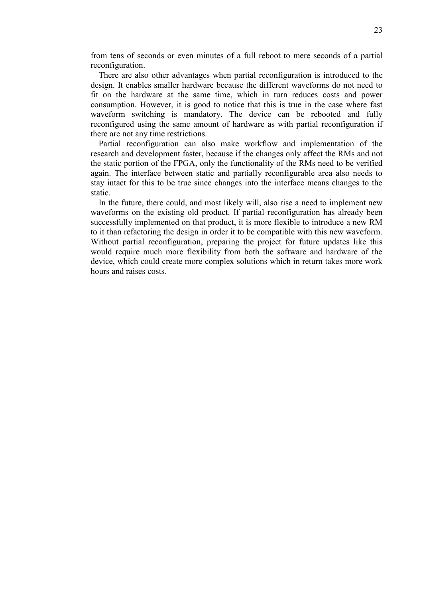from tens of seconds or even minutes of a full reboot to mere seconds of a partial reconfiguration.

There are also other advantages when partial reconfiguration is introduced to the design. It enables smaller hardware because the different waveforms do not need to fit on the hardware at the same time, which in turn reduces costs and power consumption. However, it is good to notice that this is true in the case where fast waveform switching is mandatory. The device can be rebooted and fully reconfigured using the same amount of hardware as with partial reconfiguration if there are not any time restrictions.

Partial reconfiguration can also make workflow and implementation of the research and development faster, because if the changes only affect the RMs and not the static portion of the FPGA, only the functionality of the RMs need to be verified again. The interface between static and partially reconfigurable area also needs to stay intact for this to be true since changes into the interface means changes to the static.

In the future, there could, and most likely will, also rise a need to implement new waveforms on the existing old product. If partial reconfiguration has already been successfully implemented on that product, it is more flexible to introduce a new RM to it than refactoring the design in order it to be compatible with this new waveform. Without partial reconfiguration, preparing the project for future updates like this would require much more flexibility from both the software and hardware of the device, which could create more complex solutions which in return takes more work hours and raises costs.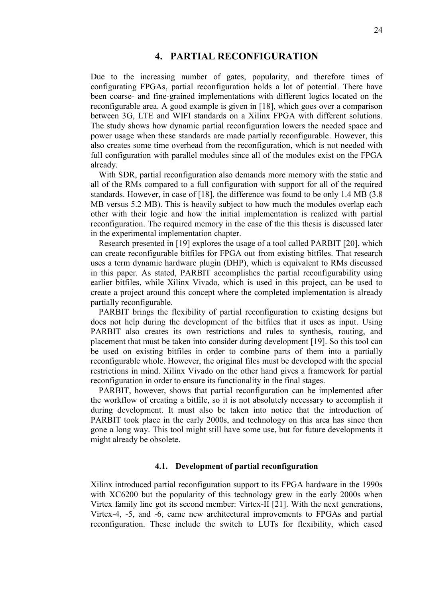## **4. PARTIAL RECONFIGURATION**

<span id="page-23-0"></span>Due to the increasing number of gates, popularity, and therefore times of configurating FPGAs, partial reconfiguration holds a lot of potential. There have been coarse- and fine-grained implementations with different logics located on the reconfigurable area. A good example is given in [18], which goes over a comparison between 3G, LTE and WIFI standards on a Xilinx FPGA with different solutions. The study shows how dynamic partial reconfiguration lowers the needed space and power usage when these standards are made partially reconfigurable. However, this also creates some time overhead from the reconfiguration, which is not needed with full configuration with parallel modules since all of the modules exist on the FPGA already.

With SDR, partial reconfiguration also demands more memory with the static and all of the RMs compared to a full configuration with support for all of the required standards. However, in case of [18], the difference was found to be only 1.4 MB (3.8 MB versus 5.2 MB). This is heavily subject to how much the modules overlap each other with their logic and how the initial implementation is realized with partial reconfiguration. The required memory in the case of the this thesis is discussed later in the experimental implementation chapter.

Research presented in [19] explores the usage of a tool called PARBIT [20], which can create reconfigurable bitfiles for FPGA out from existing bitfiles. That research uses a term dynamic hardware plugin (DHP), which is equivalent to RMs discussed in this paper. As stated, PARBIT accomplishes the partial reconfigurability using earlier bitfiles, while Xilinx Vivado, which is used in this project, can be used to create a project around this concept where the completed implementation is already partially reconfigurable.

PARBIT brings the flexibility of partial reconfiguration to existing designs but does not help during the development of the bitfiles that it uses as input. Using PARBIT also creates its own restrictions and rules to synthesis, routing, and placement that must be taken into consider during development [19]. So this tool can be used on existing bitfiles in order to combine parts of them into a partially reconfigurable whole. However, the original files must be developed with the special restrictions in mind. Xilinx Vivado on the other hand gives a framework for partial reconfiguration in order to ensure its functionality in the final stages.

PARBIT, however, shows that partial reconfiguration can be implemented after the workflow of creating a bitfile, so it is not absolutely necessary to accomplish it during development. It must also be taken into notice that the introduction of PARBIT took place in the early 2000s, and technology on this area has since then gone a long way. This tool might still have some use, but for future developments it might already be obsolete.

#### **4.1. Development of partial reconfiguration**

<span id="page-23-1"></span>Xilinx introduced partial reconfiguration support to its FPGA hardware in the 1990s with XC6200 but the popularity of this technology grew in the early 2000s when Virtex family line got its second member: Virtex-II [21]. With the next generations, Virtex-4, -5, and -6, came new architectural improvements to FPGAs and partial reconfiguration. These include the switch to LUTs for flexibility, which eased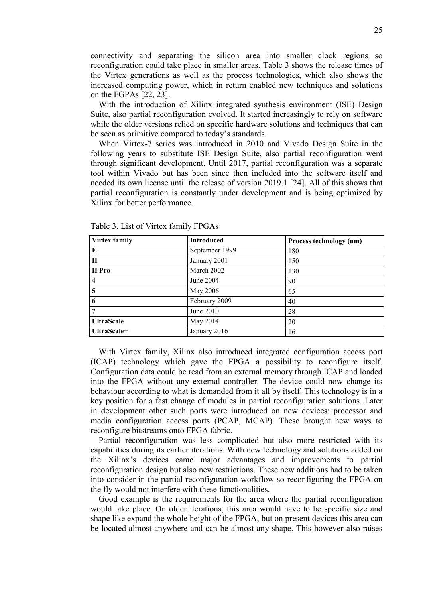connectivity and separating the silicon area into smaller clock regions so reconfiguration could take place in smaller areas. Table 3 shows the release times of the Virtex generations as well as the process technologies, which also shows the increased computing power, which in return enabled new techniques and solutions on the FGPAs [22, 23].

With the introduction of Xilinx integrated synthesis environment (ISE) Design Suite, also partial reconfiguration evolved. It started increasingly to rely on software while the older versions relied on specific hardware solutions and techniques that can be seen as primitive compared to today's standards.

When Virtex-7 series was introduced in 2010 and Vivado Design Suite in the following years to substitute ISE Design Suite, also partial reconfiguration went through significant development. Until 2017, partial reconfiguration was a separate tool within Vivado but has been since then included into the software itself and needed its own license until the release of version 2019.1 [24]. All of this shows that partial reconfiguration is constantly under development and is being optimized by Xilinx for better performance.

| Virtex family           | <b>Introduced</b> | Process technology (nm) |
|-------------------------|-------------------|-------------------------|
| E                       | September 1999    | 180                     |
| $\mathbf{H}$            | January 2001      | 150                     |
| II Pro                  | March 2002        | 130                     |
| $\overline{\mathbf{4}}$ | June 2004         | 90                      |
| 5                       | May 2006          | 65                      |
| 6                       | February 2009     | 40                      |
| 7                       | June $2010$       | 28                      |
| <b>UltraScale</b>       | May 2014          | 20                      |
| UltraScale+             | January 2016      | 16                      |

Table 3. List of Virtex family FPGAs

With Virtex family, Xilinx also introduced integrated configuration access port (ICAP) technology which gave the FPGA a possibility to reconfigure itself. Configuration data could be read from an external memory through ICAP and loaded into the FPGA without any external controller. The device could now change its behaviour according to what is demanded from it all by itself. This technology is in a key position for a fast change of modules in partial reconfiguration solutions. Later in development other such ports were introduced on new devices: processor and media configuration access ports (PCAP, MCAP). These brought new ways to reconfigure bitstreams onto FPGA fabric.

Partial reconfiguration was less complicated but also more restricted with its capabilities during its earlier iterations. With new technology and solutions added on the Xilinx's devices came major advantages and improvements to partial reconfiguration design but also new restrictions. These new additions had to be taken into consider in the partial reconfiguration workflow so reconfiguring the FPGA on the fly would not interfere with these functionalities.

Good example is the requirements for the area where the partial reconfiguration would take place. On older iterations, this area would have to be specific size and shape like expand the whole height of the FPGA, but on present devices this area can be located almost anywhere and can be almost any shape. This however also raises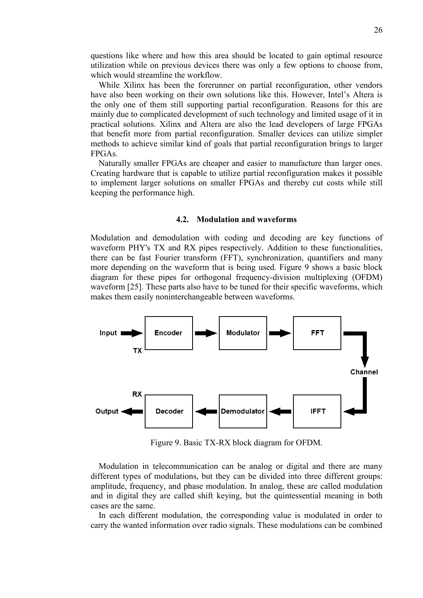questions like where and how this area should be located to gain optimal resource utilization while on previous devices there was only a few options to choose from, which would streamline the workflow.

While Xilinx has been the forerunner on partial reconfiguration, other vendors have also been working on their own solutions like this. However, Intel's Altera is the only one of them still supporting partial reconfiguration. Reasons for this are mainly due to complicated development of such technology and limited usage of it in practical solutions. Xilinx and Altera are also the lead developers of large FPGAs that benefit more from partial reconfiguration. Smaller devices can utilize simpler methods to achieve similar kind of goals that partial reconfiguration brings to larger FPGAs.

<span id="page-25-0"></span>Naturally smaller FPGAs are cheaper and easier to manufacture than larger ones. Creating hardware that is capable to utilize partial reconfiguration makes it possible to implement larger solutions on smaller FPGAs and thereby cut costs while still keeping the performance high.

#### **4.2. Modulation and waveforms**

Modulation and demodulation with coding and decoding are key functions of waveform PHY's TX and RX pipes respectively. Addition to these functionalities, there can be fast Fourier transform (FFT), synchronization, quantifiers and many more depending on the waveform that is being used. Figure 9 shows a basic block diagram for these pipes for orthogonal frequency-division multiplexing (OFDM) waveform [25]. These parts also have to be tuned for their specific waveforms, which makes them easily noninterchangeable between waveforms.



Figure 9. Basic TX-RX block diagram for OFDM.

Modulation in telecommunication can be analog or digital and there are many different types of modulations, but they can be divided into three different groups: amplitude, frequency, and phase modulation. In analog, these are called modulation and in digital they are called shift keying, but the quintessential meaning in both cases are the same.

In each different modulation, the corresponding value is modulated in order to carry the wanted information over radio signals. These modulations can be combined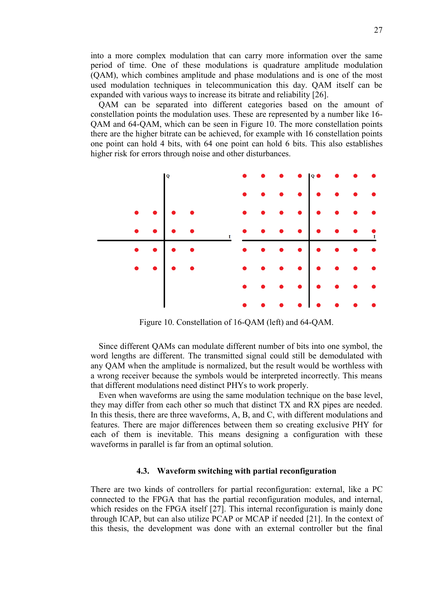into a more complex modulation that can carry more information over the same period of time. One of these modulations is quadrature amplitude modulation (QAM), which combines amplitude and phase modulations and is one of the most used modulation techniques in telecommunication this day. QAM itself can be expanded with various ways to increase its bitrate and reliability [26].

QAM can be separated into different categories based on the amount of constellation points the modulation uses. These are represented by a number like 16- QAM and 64-QAM, which can be seen in Figure 10. The more constellation points there are the higher bitrate can be achieved, for example with 16 constellation points one point can hold 4 bits, with 64 one point can hold 6 bits. This also establishes higher risk for errors through noise and other disturbances.



Figure 10. Constellation of 16-QAM (left) and 64-QAM.

Since different QAMs can modulate different number of bits into one symbol, the word lengths are different. The transmitted signal could still be demodulated with any QAM when the amplitude is normalized, but the result would be worthless with a wrong receiver because the symbols would be interpreted incorrectly. This means that different modulations need distinct PHYs to work properly.

Even when waveforms are using the same modulation technique on the base level, they may differ from each other so much that distinct TX and RX pipes are needed. In this thesis, there are three waveforms, A, B, and C, with different modulations and features. There are major differences between them so creating exclusive PHY for each of them is inevitable. This means designing a configuration with these waveforms in parallel is far from an optimal solution.

#### **4.3. Waveform switching with partial reconfiguration**

<span id="page-26-0"></span>There are two kinds of controllers for partial reconfiguration: external, like a PC connected to the FPGA that has the partial reconfiguration modules, and internal, which resides on the FPGA itself [27]. This internal reconfiguration is mainly done through ICAP, but can also utilize PCAP or MCAP if needed [21]. In the context of this thesis, the development was done with an external controller but the final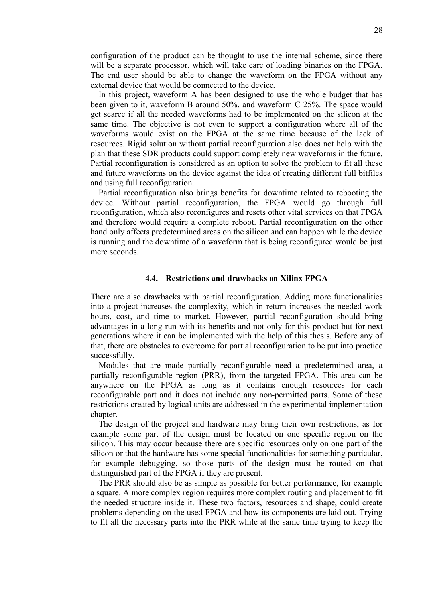configuration of the product can be thought to use the internal scheme, since there will be a separate processor, which will take care of loading binaries on the FPGA. The end user should be able to change the waveform on the FPGA without any external device that would be connected to the device.

In this project, waveform A has been designed to use the whole budget that has been given to it, waveform B around 50%, and waveform C 25%. The space would get scarce if all the needed waveforms had to be implemented on the silicon at the same time. The objective is not even to support a configuration where all of the waveforms would exist on the FPGA at the same time because of the lack of resources. Rigid solution without partial reconfiguration also does not help with the plan that these SDR products could support completely new waveforms in the future. Partial reconfiguration is considered as an option to solve the problem to fit all these and future waveforms on the device against the idea of creating different full bitfiles and using full reconfiguration.

Partial reconfiguration also brings benefits for downtime related to rebooting the device. Without partial reconfiguration, the FPGA would go through full reconfiguration, which also reconfigures and resets other vital services on that FPGA and therefore would require a complete reboot. Partial reconfiguration on the other hand only affects predetermined areas on the silicon and can happen while the device is running and the downtime of a waveform that is being reconfigured would be just mere seconds.

#### **4.4. Restrictions and drawbacks on Xilinx FPGA**

<span id="page-27-0"></span>There are also drawbacks with partial reconfiguration. Adding more functionalities into a project increases the complexity, which in return increases the needed work hours, cost, and time to market. However, partial reconfiguration should bring advantages in a long run with its benefits and not only for this product but for next generations where it can be implemented with the help of this thesis. Before any of that, there are obstacles to overcome for partial reconfiguration to be put into practice successfully.

Modules that are made partially reconfigurable need a predetermined area, a partially reconfigurable region (PRR), from the targeted FPGA. This area can be anywhere on the FPGA as long as it contains enough resources for each reconfigurable part and it does not include any non-permitted parts. Some of these restrictions created by logical units are addressed in the experimental implementation chapter.

The design of the project and hardware may bring their own restrictions, as for example some part of the design must be located on one specific region on the silicon. This may occur because there are specific resources only on one part of the silicon or that the hardware has some special functionalities for something particular, for example debugging, so those parts of the design must be routed on that distinguished part of the FPGA if they are present.

The PRR should also be as simple as possible for better performance, for example a square. A more complex region requires more complex routing and placement to fit the needed structure inside it. These two factors, resources and shape, could create problems depending on the used FPGA and how its components are laid out. Trying to fit all the necessary parts into the PRR while at the same time trying to keep the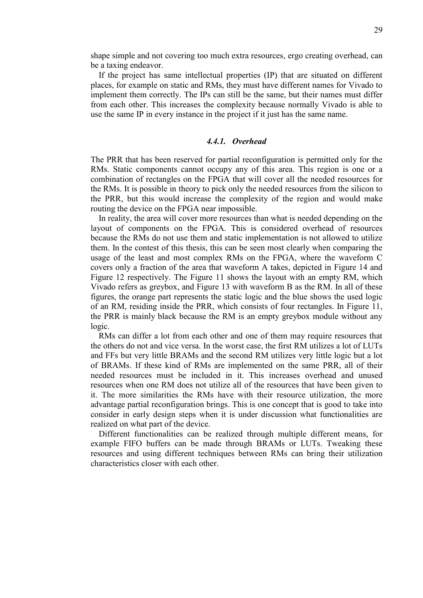shape simple and not covering too much extra resources, ergo creating overhead, can be a taxing endeavor.

If the project has same intellectual properties (IP) that are situated on different places, for example on static and RMs, they must have different names for Vivado to implement them correctly. The IPs can still be the same, but their names must differ from each other. This increases the complexity because normally Vivado is able to use the same IP in every instance in the project if it just has the same name.

## *4.4.1. Overhead*

<span id="page-28-0"></span>The PRR that has been reserved for partial reconfiguration is permitted only for the RMs. Static components cannot occupy any of this area. This region is one or a combination of rectangles on the FPGA that will cover all the needed resources for the RMs. It is possible in theory to pick only the needed resources from the silicon to the PRR, but this would increase the complexity of the region and would make routing the device on the FPGA near impossible.

In reality, the area will cover more resources than what is needed depending on the layout of components on the FPGA. This is considered overhead of resources because the RMs do not use them and static implementation is not allowed to utilize them. In the contest of this thesis, this can be seen most clearly when comparing the usage of the least and most complex RMs on the FPGA, where the waveform C covers only a fraction of the area that waveform A takes, depicted in Figure 14 and Figure 12 respectively. The Figure 11 shows the layout with an empty RM, which Vivado refers as greybox, and Figure 13 with waveform B as the RM. In all of these figures, the orange part represents the static logic and the blue shows the used logic of an RM, residing inside the PRR, which consists of four rectangles. In Figure 11, the PRR is mainly black because the RM is an empty greybox module without any logic.

RMs can differ a lot from each other and one of them may require resources that the others do not and vice versa. In the worst case, the first RM utilizes a lot of LUTs and FFs but very little BRAMs and the second RM utilizes very little logic but a lot of BRAMs. If these kind of RMs are implemented on the same PRR, all of their needed resources must be included in it. This increases overhead and unused resources when one RM does not utilize all of the resources that have been given to it. The more similarities the RMs have with their resource utilization, the more advantage partial reconfiguration brings. This is one concept that is good to take into consider in early design steps when it is under discussion what functionalities are realized on what part of the device.

Different functionalities can be realized through multiple different means, for example FIFO buffers can be made through BRAMs or LUTs. Tweaking these resources and using different techniques between RMs can bring their utilization characteristics closer with each other.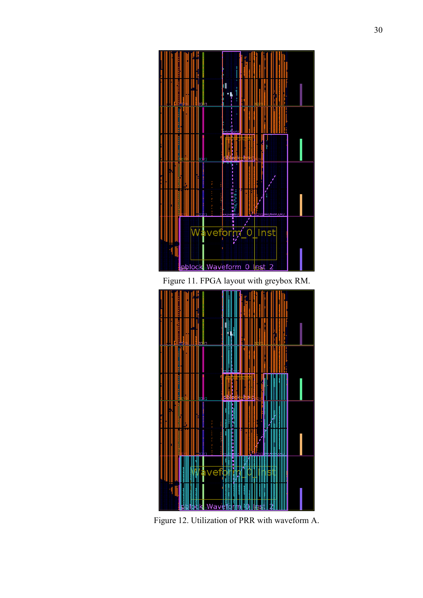

Figure 11. FPGA layout with greybox RM.



Figure 12. Utilization of PRR with waveform A.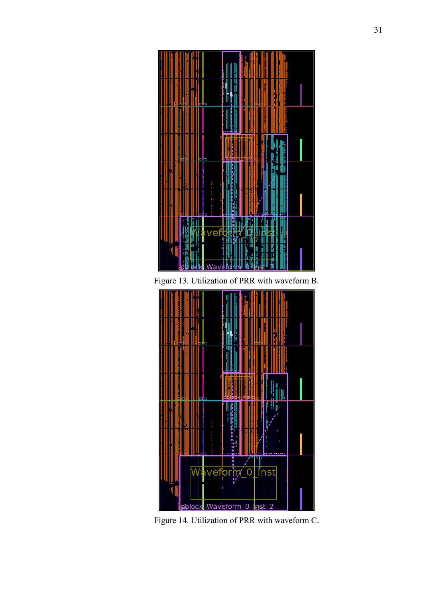

Figure 13. Utilization of PRR with waveform B.



Figure 14. Utilization of PRR with waveform C.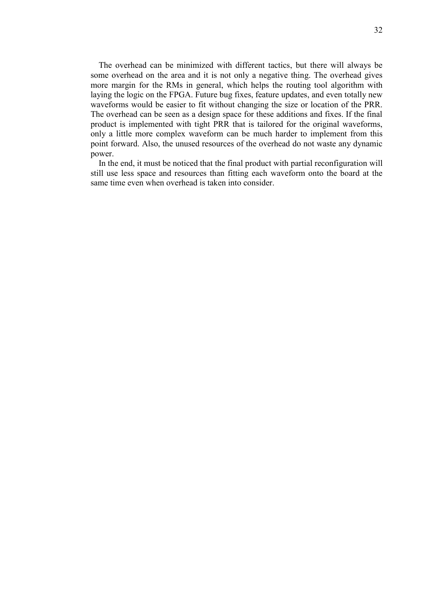The overhead can be minimized with different tactics, but there will always be some overhead on the area and it is not only a negative thing. The overhead gives more margin for the RMs in general, which helps the routing tool algorithm with laying the logic on the FPGA. Future bug fixes, feature updates, and even totally new waveforms would be easier to fit without changing the size or location of the PRR. The overhead can be seen as a design space for these additions and fixes. If the final product is implemented with tight PRR that is tailored for the original waveforms, only a little more complex waveform can be much harder to implement from this point forward. Also, the unused resources of the overhead do not waste any dynamic power.

In the end, it must be noticed that the final product with partial reconfiguration will still use less space and resources than fitting each waveform onto the board at the same time even when overhead is taken into consider.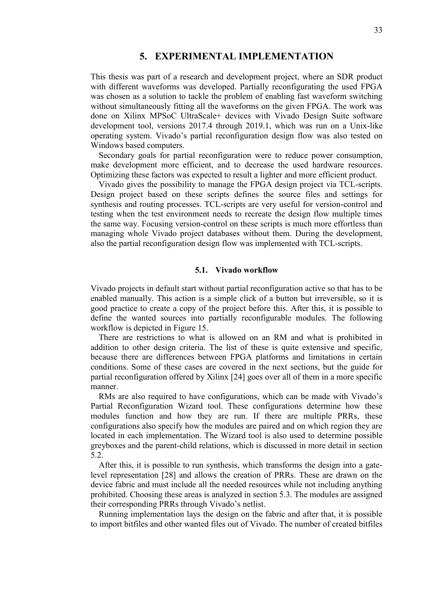## **5. EXPERIMENTAL IMPLEMENTATION**

<span id="page-32-0"></span>This thesis was part of a research and development project, where an SDR product with different waveforms was developed. Partially reconfigurating the used FPGA was chosen as a solution to tackle the problem of enabling fast waveform switching without simultaneously fitting all the waveforms on the given FPGA. The work was done on Xilinx MPSoC UltraScale+ devices with Vivado Design Suite software development tool, versions 2017.4 through 2019.1, which was run on a Unix-like operating system. Vivado's partial reconfiguration design flow was also tested on Windows based computers.

Secondary goals for partial reconfiguration were to reduce power consumption, make development more efficient, and to decrease the used hardware resources. Optimizing these factors was expected to result a lighter and more efficient product.

Vivado gives the possibility to manage the FPGA design project via TCL-scripts. Design project based on these scripts defines the source files and settings for synthesis and routing processes. TCL-scripts are very useful for version-control and testing when the test environment needs to recreate the design flow multiple times the same way. Focusing version-control on these scripts is much more effortless than managing whole Vivado project databases without them. During the development, also the partial reconfiguration design flow was implemented with TCL-scripts.

#### **5.1. Vivado workflow**

<span id="page-32-1"></span>Vivado projects in default start without partial reconfiguration active so that has to be enabled manually. This action is a simple click of a button but irreversible, so it is good practice to create a copy of the project before this. After this, it is possible to define the wanted sources into partially reconfigurable modules. The following workflow is depicted in Figure 15.

There are restrictions to what is allowed on an RM and what is prohibited in addition to other design criteria. The list of these is quite extensive and specific, because there are differences between FPGA platforms and limitations in certain conditions. Some of these cases are covered in the next sections, but the guide for partial reconfiguration offered by Xilinx [24] goes over all of them in a more specific manner.

RMs are also required to have configurations, which can be made with Vivado's Partial Reconfiguration Wizard tool. These configurations determine how these modules function and how they are run. If there are multiple PRRs, these configurations also specify how the modules are paired and on which region they are located in each implementation. The Wizard tool is also used to determine possible greyboxes and the parent-child relations, which is discussed in more detail in section 5.2.

After this, it is possible to run synthesis, which transforms the design into a gatelevel representation [28] and allows the creation of PRRs. These are drawn on the device fabric and must include all the needed resources while not including anything prohibited. Choosing these areas is analyzed in section 5.3. The modules are assigned their corresponding PRRs through Vivado's netlist.

Running implementation lays the design on the fabric and after that, it is possible to import bitfiles and other wanted files out of Vivado. The number of created bitfiles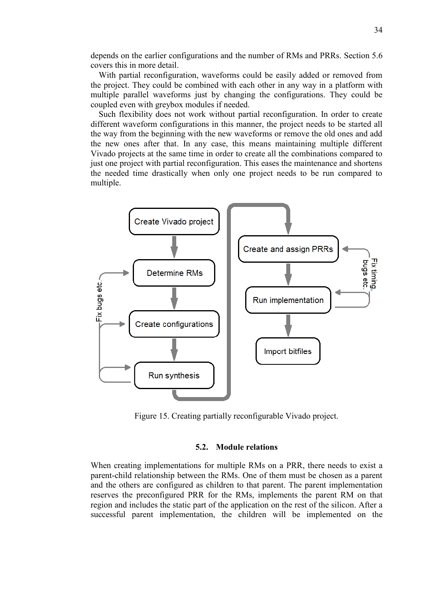depends on the earlier configurations and the number of RMs and PRRs. Section 5.6 covers this in more detail.

With partial reconfiguration, waveforms could be easily added or removed from the project. They could be combined with each other in any way in a platform with multiple parallel waveforms just by changing the configurations. They could be coupled even with greybox modules if needed.

Such flexibility does not work without partial reconfiguration. In order to create different waveform configurations in this manner, the project needs to be started all the way from the beginning with the new waveforms or remove the old ones and add the new ones after that. In any case, this means maintaining multiple different Vivado projects at the same time in order to create all the combinations compared to just one project with partial reconfiguration. This eases the maintenance and shortens the needed time drastically when only one project needs to be run compared to multiple.



Figure 15. Creating partially reconfigurable Vivado project.

#### **5.2. Module relations**

<span id="page-33-0"></span>When creating implementations for multiple RMs on a PRR, there needs to exist a parent-child relationship between the RMs. One of them must be chosen as a parent and the others are configured as children to that parent. The parent implementation reserves the preconfigured PRR for the RMs, implements the parent RM on that region and includes the static part of the application on the rest of the silicon. After a successful parent implementation, the children will be implemented on the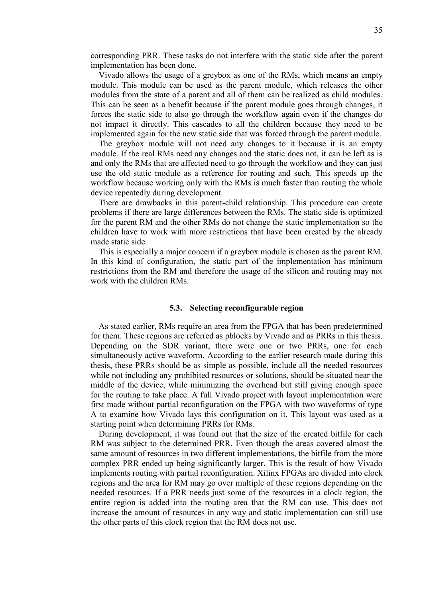corresponding PRR. These tasks do not interfere with the static side after the parent implementation has been done.

Vivado allows the usage of a greybox as one of the RMs, which means an empty module. This module can be used as the parent module, which releases the other modules from the state of a parent and all of them can be realized as child modules. This can be seen as a benefit because if the parent module goes through changes, it forces the static side to also go through the workflow again even if the changes do not impact it directly. This cascades to all the children because they need to be implemented again for the new static side that was forced through the parent module.

The greybox module will not need any changes to it because it is an empty module. If the real RMs need any changes and the static does not, it can be left as is and only the RMs that are affected need to go through the workflow and they can just use the old static module as a reference for routing and such. This speeds up the workflow because working only with the RMs is much faster than routing the whole device repeatedly during development.

There are drawbacks in this parent-child relationship. This procedure can create problems if there are large differences between the RMs. The static side is optimized for the parent RM and the other RMs do not change the static implementation so the children have to work with more restrictions that have been created by the already made static side.

This is especially a major concern if a greybox module is chosen as the parent RM. In this kind of configuration, the static part of the implementation has minimum restrictions from the RM and therefore the usage of the silicon and routing may not work with the children RMs.

#### **5.3. Selecting reconfigurable region**

<span id="page-34-0"></span>As stated earlier, RMs require an area from the FPGA that has been predetermined for them. These regions are referred as pblocks by Vivado and as PRRs in this thesis. Depending on the SDR variant, there were one or two PRRs, one for each simultaneously active waveform. According to the earlier research made during this thesis, these PRRs should be as simple as possible, include all the needed resources while not including any prohibited resources or solutions, should be situated near the middle of the device, while minimizing the overhead but still giving enough space for the routing to take place. A full Vivado project with layout implementation were first made without partial reconfiguration on the FPGA with two waveforms of type A to examine how Vivado lays this configuration on it. This layout was used as a starting point when determining PRRs for RMs.

During development, it was found out that the size of the created bitfile for each RM was subject to the determined PRR. Even though the areas covered almost the same amount of resources in two different implementations, the bitfile from the more complex PRR ended up being significantly larger. This is the result of how Vivado implements routing with partial reconfiguration. Xilinx FPGAs are divided into clock regions and the area for RM may go over multiple of these regions depending on the needed resources. If a PRR needs just some of the resources in a clock region, the entire region is added into the routing area that the RM can use. This does not increase the amount of resources in any way and static implementation can still use the other parts of this clock region that the RM does not use.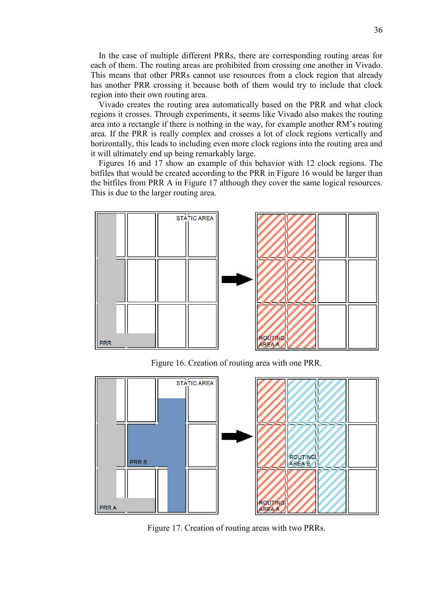<span id="page-35-0"></span>In the case of multiple different PRRs, there are corresponding routing areas for each of them. The routing areas are prohibited from crossing one another in Vivado. This means that other PRRs cannot use resources from a clock region that already has another PRR crossing it because both of them would try to include that clock region into their own routing area.

Vivado creates the routing area automatically based on the PRR and what clock regions it crosses. Through experiments, it seems like Vivado also makes the routing area into a rectangle if there is nothing in the way, for example another RM's routing area. If the PRR is really complex and crosses a lot of clock regions vertically and horizontally, this leads to including even more clock regions into the routing area and it will ultimately end up being remarkably large.

Figures 16 and 17 show an example of this behavior with 12 clock regions. The bitfiles that would be created according to the PRR in Figure 16 would be larger than the bitfiles from PRR A in Figure 17 although they cover the same logical resources. This is due to the larger routing area.



Figure 16. Creation of routing area with one PRR.



Figure 17. Creation of routing areas with two PRRs.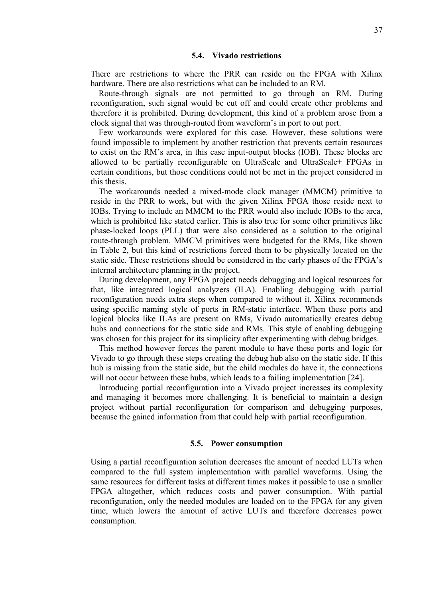#### **5.4. Vivado restrictions**

There are restrictions to where the PRR can reside on the FPGA with Xilinx hardware. There are also restrictions what can be included to an RM

Route-through signals are not permitted to go through an RM. During reconfiguration, such signal would be cut off and could create other problems and therefore it is prohibited. During development, this kind of a problem arose from a clock signal that was through-routed from waveform's in port to out port.

Few workarounds were explored for this case. However, these solutions were found impossible to implement by another restriction that prevents certain resources to exist on the RM's area, in this case input-output blocks (IOB). These blocks are allowed to be partially reconfigurable on UltraScale and UltraScale+ FPGAs in certain conditions, but those conditions could not be met in the project considered in this thesis.

The workarounds needed a mixed-mode clock manager (MMCM) primitive to reside in the PRR to work, but with the given Xilinx FPGA those reside next to IOBs. Trying to include an MMCM to the PRR would also include IOBs to the area, which is prohibited like stated earlier. This is also true for some other primitives like phase-locked loops (PLL) that were also considered as a solution to the original route-through problem. MMCM primitives were budgeted for the RMs, like shown in Table 2, but this kind of restrictions forced them to be physically located on the static side. These restrictions should be considered in the early phases of the FPGA's internal architecture planning in the project.

During development, any FPGA project needs debugging and logical resources for that, like integrated logical analyzers (ILA). Enabling debugging with partial reconfiguration needs extra steps when compared to without it. Xilinx recommends using specific naming style of ports in RM-static interface. When these ports and logical blocks like ILAs are present on RMs, Vivado automatically creates debug hubs and connections for the static side and RMs. This style of enabling debugging was chosen for this project for its simplicity after experimenting with debug bridges.

This method however forces the parent module to have these ports and logic for Vivado to go through these steps creating the debug hub also on the static side. If this hub is missing from the static side, but the child modules do have it, the connections will not occur between these hubs, which leads to a failing implementation [24].

Introducing partial reconfiguration into a Vivado project increases its complexity and managing it becomes more challenging. It is beneficial to maintain a design project without partial reconfiguration for comparison and debugging purposes, because the gained information from that could help with partial reconfiguration.

#### **5.5. Power consumption**

<span id="page-36-0"></span>Using a partial reconfiguration solution decreases the amount of needed LUTs when compared to the full system implementation with parallel waveforms. Using the same resources for different tasks at different times makes it possible to use a smaller FPGA altogether, which reduces costs and power consumption. With partial reconfiguration, only the needed modules are loaded on to the FPGA for any given time, which lowers the amount of active LUTs and therefore decreases power consumption.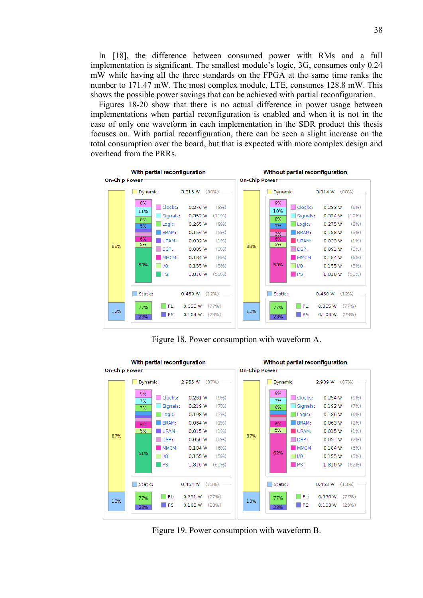In [18], the difference between consumed power with RMs and a full implementation is significant. The smallest module's logic, 3G, consumes only 0.24 mW while having all the three standards on the FPGA at the same time ranks the number to 171.47 mW. The most complex module, LTE, consumes 128.8 mW. This shows the possible power savings that can be achieved with partial reconfiguration.

Figures 18-20 show that there is no actual difference in power usage between implementations when partial reconfiguration is enabled and when it is not in the case of only one waveform in each implementation in the SDR product this thesis focuses on. With partial reconfiguration, there can be seen a slight increase on the total consumption over the board, but that is expected with more complex design and overhead from the PRRs.



Figure 18. Power consumption with waveform A.



Figure 19. Power consumption with waveform B.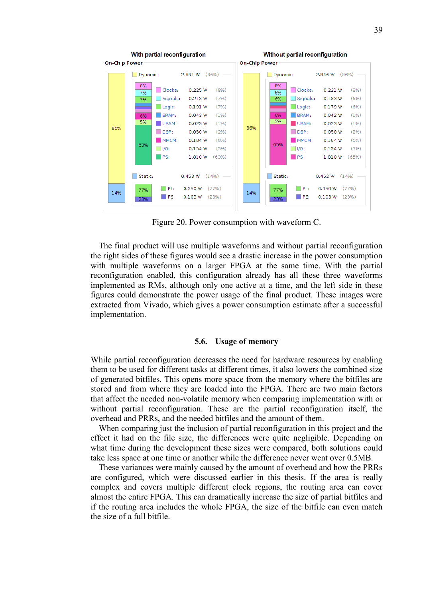

Figure 20. Power consumption with waveform C.

The final product will use multiple waveforms and without partial reconfiguration the right sides of these figures would see a drastic increase in the power consumption with multiple waveforms on a larger FPGA at the same time. With the partial reconfiguration enabled, this configuration already has all these three waveforms implemented as RMs, although only one active at a time, and the left side in these figures could demonstrate the power usage of the final product. These images were extracted from Vivado, which gives a power consumption estimate after a successful implementation.

#### **5.6. Usage of memory**

<span id="page-38-0"></span>While partial reconfiguration decreases the need for hardware resources by enabling them to be used for different tasks at different times, it also lowers the combined size of generated bitfiles. This opens more space from the memory where the bitfiles are stored and from where they are loaded into the FPGA. There are two main factors that affect the needed non-volatile memory when comparing implementation with or without partial reconfiguration. These are the partial reconfiguration itself, the overhead and PRRs, and the needed bitfiles and the amount of them.

When comparing just the inclusion of partial reconfiguration in this project and the effect it had on the file size, the differences were quite negligible. Depending on what time during the development these sizes were compared, both solutions could take less space at one time or another while the difference never went over 0.5MB.

These variances were mainly caused by the amount of overhead and how the PRRs are configured, which were discussed earlier in this thesis. If the area is really complex and covers multiple different clock regions, the routing area can cover almost the entire FPGA. This can dramatically increase the size of partial bitfiles and if the routing area includes the whole FPGA, the size of the bitfile can even match the size of a full bitfile.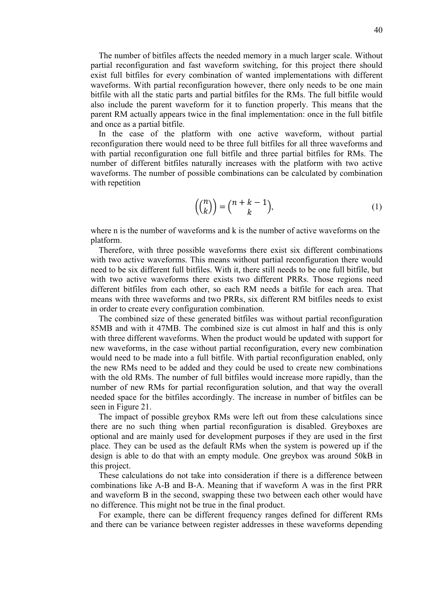The number of bitfiles affects the needed memory in a much larger scale. Without partial reconfiguration and fast waveform switching, for this project there should exist full bitfiles for every combination of wanted implementations with different waveforms. With partial reconfiguration however, there only needs to be one main bitfile with all the static parts and partial bitfiles for the RMs. The full bitfile would also include the parent waveform for it to function properly. This means that the parent RM actually appears twice in the final implementation: once in the full bitfile and once as a partial bitfile.

In the case of the platform with one active waveform, without partial reconfiguration there would need to be three full bitfiles for all three waveforms and with partial reconfiguration one full bitfile and three partial bitfiles for RMs. The number of different bitfiles naturally increases with the platform with two active waveforms. The number of possible combinations can be calculated by combination with repetition

$$
\left(\binom{n}{k}\right) = \binom{n+k-1}{k},\tag{1}
$$

where n is the number of waveforms and k is the number of active waveforms on the platform.

Therefore, with three possible waveforms there exist six different combinations with two active waveforms. This means without partial reconfiguration there would need to be six different full bitfiles. With it, there still needs to be one full bitfile, but with two active waveforms there exists two different PRRs. Those regions need different bitfiles from each other, so each RM needs a bitfile for each area. That means with three waveforms and two PRRs, six different RM bitfiles needs to exist in order to create every configuration combination.

The combined size of these generated bitfiles was without partial reconfiguration 85MB and with it 47MB. The combined size is cut almost in half and this is only with three different waveforms. When the product would be updated with support for new waveforms, in the case without partial reconfiguration, every new combination would need to be made into a full bitfile. With partial reconfiguration enabled, only the new RMs need to be added and they could be used to create new combinations with the old RMs. The number of full bitfiles would increase more rapidly, than the number of new RMs for partial reconfiguration solution, and that way the overall needed space for the bitfiles accordingly. The increase in number of bitfiles can be seen in Figure 21.

The impact of possible greybox RMs were left out from these calculations since there are no such thing when partial reconfiguration is disabled. Greyboxes are optional and are mainly used for development purposes if they are used in the first place. They can be used as the default RMs when the system is powered up if the design is able to do that with an empty module. One greybox was around 50kB in this project.

These calculations do not take into consideration if there is a difference between combinations like A-B and B-A. Meaning that if waveform A was in the first PRR and waveform B in the second, swapping these two between each other would have no difference. This might not be true in the final product.

For example, there can be different frequency ranges defined for different RMs and there can be variance between register addresses in these waveforms depending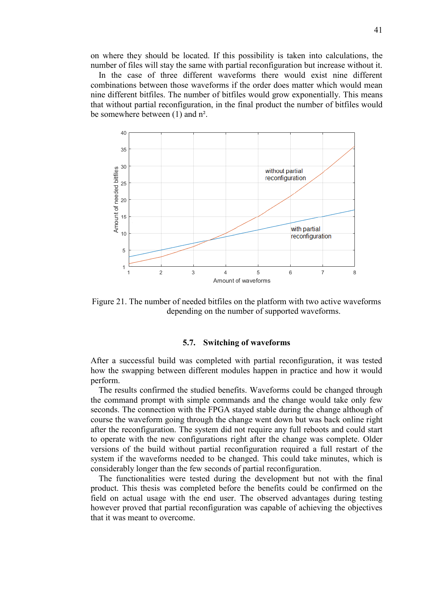on where they should be located. If this possibility is taken into calculations, the number of files will stay the same with partial reconfiguration but increase without it.

In the case of three different waveforms there would exist nine different combinations between those waveforms if the order does matter which would mean nine different bitfiles. The number of bitfiles would grow exponentially. This means that without partial reconfiguration, in the final product the number of bitfiles would be somewhere between (1) and n².



<span id="page-40-0"></span>Figure 21. The number of needed bitfiles on the platform with two active waveforms depending on the number of supported waveforms.

#### **5.7. Switching of waveforms**

After a successful build was completed with partial reconfiguration, it was tested how the swapping between different modules happen in practice and how it would perform.

The results confirmed the studied benefits. Waveforms could be changed through the command prompt with simple commands and the change would take only few seconds. The connection with the FPGA stayed stable during the change although of course the waveform going through the change went down but was back online right after the reconfiguration. The system did not require any full reboots and could start to operate with the new configurations right after the change was complete. Older versions of the build without partial reconfiguration required a full restart of the system if the waveforms needed to be changed. This could take minutes, which is considerably longer than the few seconds of partial reconfiguration.

The functionalities were tested during the development but not with the final product. This thesis was completed before the benefits could be confirmed on the field on actual usage with the end user. The observed advantages during testing however proved that partial reconfiguration was capable of achieving the objectives that it was meant to overcome.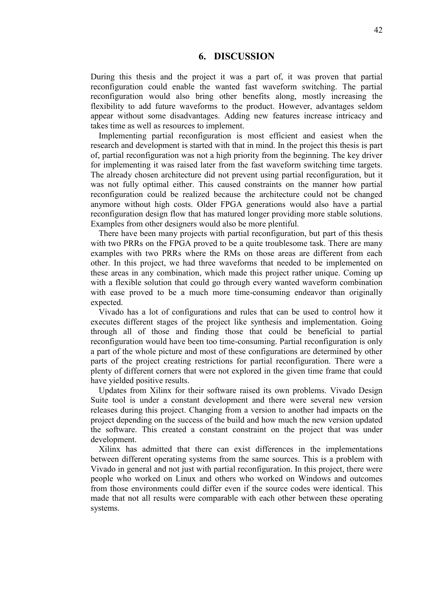## **6. DISCUSSION**

<span id="page-41-0"></span>During this thesis and the project it was a part of, it was proven that partial reconfiguration could enable the wanted fast waveform switching. The partial reconfiguration would also bring other benefits along, mostly increasing the flexibility to add future waveforms to the product. However, advantages seldom appear without some disadvantages. Adding new features increase intricacy and takes time as well as resources to implement.

Implementing partial reconfiguration is most efficient and easiest when the research and development is started with that in mind. In the project this thesis is part of, partial reconfiguration was not a high priority from the beginning. The key driver for implementing it was raised later from the fast waveform switching time targets. The already chosen architecture did not prevent using partial reconfiguration, but it was not fully optimal either. This caused constraints on the manner how partial reconfiguration could be realized because the architecture could not be changed anymore without high costs. Older FPGA generations would also have a partial reconfiguration design flow that has matured longer providing more stable solutions. Examples from other designers would also be more plentiful.

There have been many projects with partial reconfiguration, but part of this thesis with two PRRs on the FPGA proved to be a quite troublesome task. There are many examples with two PRRs where the RMs on those areas are different from each other. In this project, we had three waveforms that needed to be implemented on these areas in any combination, which made this project rather unique. Coming up with a flexible solution that could go through every wanted waveform combination with ease proved to be a much more time-consuming endeavor than originally expected.

Vivado has a lot of configurations and rules that can be used to control how it executes different stages of the project like synthesis and implementation. Going through all of those and finding those that could be beneficial to partial reconfiguration would have been too time-consuming. Partial reconfiguration is only a part of the whole picture and most of these configurations are determined by other parts of the project creating restrictions for partial reconfiguration. There were a plenty of different corners that were not explored in the given time frame that could have yielded positive results.

Updates from Xilinx for their software raised its own problems. Vivado Design Suite tool is under a constant development and there were several new version releases during this project. Changing from a version to another had impacts on the project depending on the success of the build and how much the new version updated the software. This created a constant constraint on the project that was under development.

Xilinx has admitted that there can exist differences in the implementations between different operating systems from the same sources. This is a problem with Vivado in general and not just with partial reconfiguration. In this project, there were people who worked on Linux and others who worked on Windows and outcomes from those environments could differ even if the source codes were identical. This made that not all results were comparable with each other between these operating systems.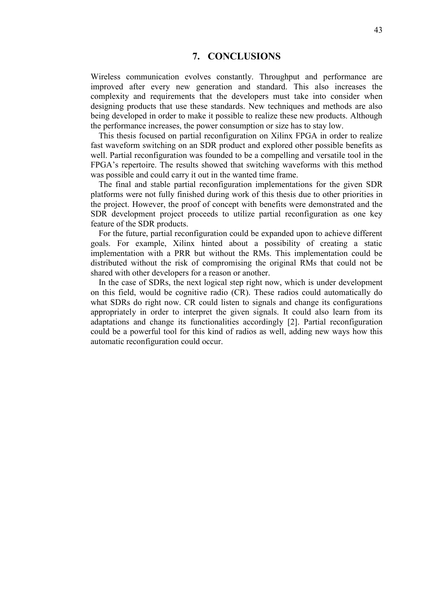## **7. CONCLUSIONS**

<span id="page-42-0"></span>Wireless communication evolves constantly. Throughput and performance are improved after every new generation and standard. This also increases the complexity and requirements that the developers must take into consider when designing products that use these standards. New techniques and methods are also being developed in order to make it possible to realize these new products. Although the performance increases, the power consumption or size has to stay low.

This thesis focused on partial reconfiguration on Xilinx FPGA in order to realize fast waveform switching on an SDR product and explored other possible benefits as well. Partial reconfiguration was founded to be a compelling and versatile tool in the FPGA's repertoire. The results showed that switching waveforms with this method was possible and could carry it out in the wanted time frame.

The final and stable partial reconfiguration implementations for the given SDR platforms were not fully finished during work of this thesis due to other priorities in the project. However, the proof of concept with benefits were demonstrated and the SDR development project proceeds to utilize partial reconfiguration as one key feature of the SDR products.

For the future, partial reconfiguration could be expanded upon to achieve different goals. For example, Xilinx hinted about a possibility of creating a static implementation with a PRR but without the RMs. This implementation could be distributed without the risk of compromising the original RMs that could not be shared with other developers for a reason or another.

In the case of SDRs, the next logical step right now, which is under development on this field, would be cognitive radio (CR). These radios could automatically do what SDRs do right now. CR could listen to signals and change its configurations appropriately in order to interpret the given signals. It could also learn from its adaptations and change its functionalities accordingly [2]. Partial reconfiguration could be a powerful tool for this kind of radios as well, adding new ways how this automatic reconfiguration could occur.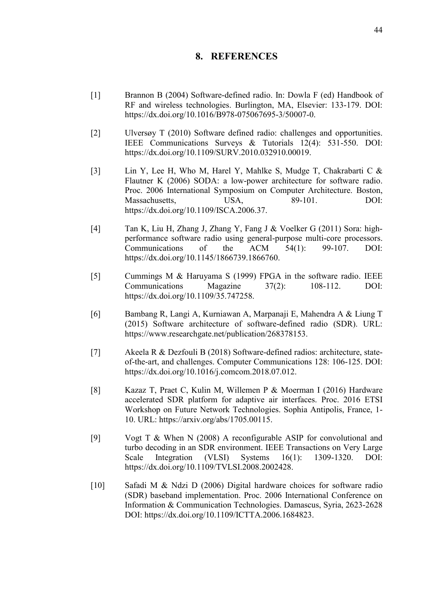## **8. REFERENCES**

- <span id="page-43-0"></span>[1] Brannon B (2004) Software-defined radio. In: Dowla F (ed) Handbook of RF and wireless technologies. Burlington, MA, Elsevier: 133-179. DOI: https://dx.doi.org/10.1016/B978-075067695-3/50007-0.
- [2] Ulversøy T (2010) Software defined radio: challenges and opportunities. IEEE Communications Surveys & Tutorials 12(4): 531-550. DOI: https://dx.doi.org[/10.1109/SURV.2010.032910.00019.](https://doi.org/10.1109/SURV.2010.032910.00019)
- [3] Lin Y, Lee H, Who M, Harel Y, Mahlke S, Mudge T, Chakrabarti C & Flautner K (2006) SODA: a low-power architecture for software radio. Proc. 2006 International Symposium on Computer Architecture. Boston, Massachusetts. USA, 89-101. DOI: https://dx.doi.org[/10.1109/ISCA.2006.37.](https://doi.org/10.1109/ISCA.2006.37)
- [4] Tan K, Liu H, Zhang J, Zhang Y, Fang J & Voelker G (2011) Sora: highperformance software radio using general-purpose multi-core processors. Communications of the ACM 54(1): 99-107. DOI: https://dx.doi.org[/10.1145/1866739.1866760.](https://doi.org/10.1145/1866739.1866760)
- [5] Cummings M & Haruyama S (1999) FPGA in the software radio. IEEE Communications Magazine 37(2): 108-112. DOI: https://dx.doi.org[/10.1109/3](https://doi.org/10.1109/SURV.2010.032910.00019)5.747258.
- [6] Bambang R, Langi A, Kurniawan A, Marpanaji E, Mahendra A & Liung T (2015) Software architecture of software-defined radio (SDR). URL: https://www.researchgate.net/publication/268378153.
- [7] Akeela R & Dezfouli B (2018) Software-defined radios: architecture, stateof-the-art, and challenges. Computer Communications 128: 106-125. DOI: [https://dx.doi.org/10.1016/j.comcom.2018.07.012.](https://dx.doi.org/10.1016/j.comcom.2018.07.012)
- [8] Kazaz T, Praet C, Kulin M, Willemen P & Moerman I (2016) Hardware accelerated SDR platform for adaptive air interfaces. Proc. 2016 ETSI Workshop on Future Network Technologies. Sophia Antipolis, France, 1- 10. URL: https://arxiv.org/abs/1705.00115.
- [9] Vogt T & When N (2008) A reconfigurable ASIP for convolutional and turbo decoding in an SDR environment. IEEE Transactions on Very Large Scale Integration (VLSI) Systems 16(1): 1309-1320. DOI: https://dx.doi.org[/10.1109/TVLSI.2008.2002428.](https://doi.org/10.1109/TVLSI.2008.2002428)
- [10] Safadi M & Ndzi D (2006) Digital hardware choices for software radio (SDR) baseband implementation. Proc. 2006 International Conference on Information & Communication Technologies. Damascus, Syria, 2623-2628 DOI: https://dx.doi.org[/10.1109/ICTTA.2006.1684823.](https://doi.org/10.1109/ICTTA.2006.1684823)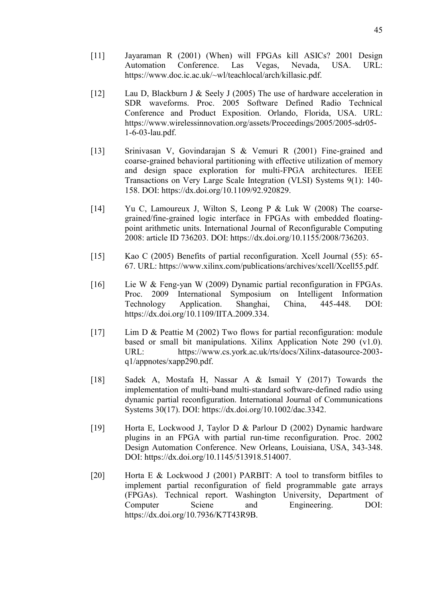- [11] Jayaraman R (2001) (When) will FPGAs kill ASICs? 2001 Design Automation Conference. Las Vegas, Nevada, USA. URL: https://www.doc.ic.ac.uk/~wl/teachlocal/arch/killasic.pdf.
- [12] Lau D, Blackburn J & Seely J (2005) The use of hardware acceleration in SDR waveforms. Proc. 2005 Software Defined Radio Technical Conference and Product Exposition. Orlando, Florida, USA. URL: https://www.wirelessinnovation.org/assets/Proceedings/2005/2005-sdr05- 1-6-03-lau.pdf.
- [13] Srinivasan V, Govindarajan S & Vemuri R (2001) Fine-grained and coarse-grained behavioral partitioning with effective utilization of memory and design space exploration for multi-FPGA architectures. IEEE Transactions on Very Large Scale Integration (VLSI) Systems 9(1): 140- 158. DOI: https://dx.doi.org[/10.1109/92.920829.](https://doi.org/10.1109/92.920829)
- [14] Yu C, Lamoureux J, Wilton S, Leong P & Luk W (2008) The coarsegrained/fine-grained logic interface in FPGAs with embedded floatingpoint arithmetic units. International Journal of Reconfigurable Computing 2008: article ID 736203. DOI: https://dx.doi.org/10.1155/2008/736203.
- [15] Kao C (2005) Benefits of partial reconfiguration. Xcell Journal (55): 65- 67. URL: https://www.xilinx.com/publications/archives/xcell/Xcell55.pdf.
- [16] Lie W & Feng-yan W (2009) Dynamic partial reconfiguration in FPGAs. Proc. 2009 International Symposium on Intelligent Information Technology Application. Shanghai, China, 445-448. DOI: https://dx.doi.org[/10.1109/IITA.2009.334.](https://doi.org/10.1109/IITA.2009.334)
- [17] Lim D & Peattie M (2002) Two flows for partial reconfiguration: module based or small bit manipulations. Xilinx Application Note 290 (v1.0). URL: https://www.cs.york.ac.uk/rts/docs/Xilinx-datasource-2003 q1/appnotes/xapp290.pdf.
- [18] Sadek A, Mostafa H, Nassar A & Ismail Y (2017) Towards the implementation of multi-band multi-standard software-defined radio using dynamic partial reconfiguration. International Journal of Communications Systems 30(17). DOI: https://dx.doi.org/10.1002/dac.3342.
- [19] Horta E, Lockwood J, Taylor D & Parlour D (2002) Dynamic hardware plugins in an FPGA with partial run-time reconfiguration. Proc. 2002 Design Automation Conference. New Orleans, Louisiana, USA, 343-348. DOI: https://dx.doi.org[/10.1145/513918.514007.](https://doi.org/10.1145/513918.514007)
- [20] Horta E & Lockwood J (2001) PARBIT: A tool to transform bitfiles to implement partial reconfiguration of field programmable gate arrays (FPGAs). Technical report. Washington University, Department of Computer Sciene and Engineering. DOI: https://dx.doi.org/10.7936/K7T43R9B.